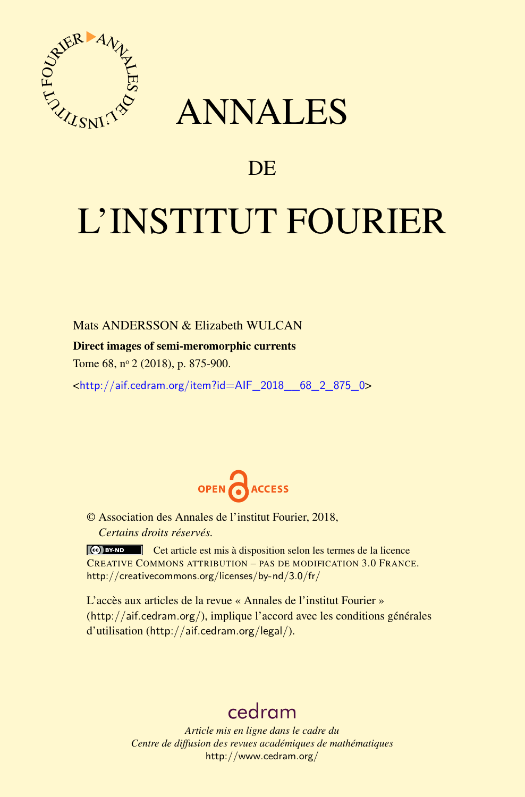

# ANNALES

# **DE**

# L'INSTITUT FOURIER

Mats ANDERSSON & Elizabeth WULCAN

### Direct images of semi-meromorphic currents

Tome 68, n<sup>o</sup> 2 (2018), p. 875-900.

<[http://aif.cedram.org/item?id=AIF\\_2018\\_\\_68\\_2\\_875\\_0](http://aif.cedram.org/item?id=AIF_2018__68_2_875_0)>



© Association des Annales de l'institut Fourier, 2018, *Certains droits réservés.*

Cet article est mis à disposition selon les termes de la licence CREATIVE COMMONS ATTRIBUTION – PAS DE MODIFICATION 3.0 FRANCE. <http://creativecommons.org/licenses/by-nd/3.0/fr/>

L'accès aux articles de la revue « Annales de l'institut Fourier » (<http://aif.cedram.org/>), implique l'accord avec les conditions générales d'utilisation (<http://aif.cedram.org/legal/>).

# [cedram](http://www.cedram.org/)

*Article mis en ligne dans le cadre du Centre de diffusion des revues académiques de mathématiques* <http://www.cedram.org/>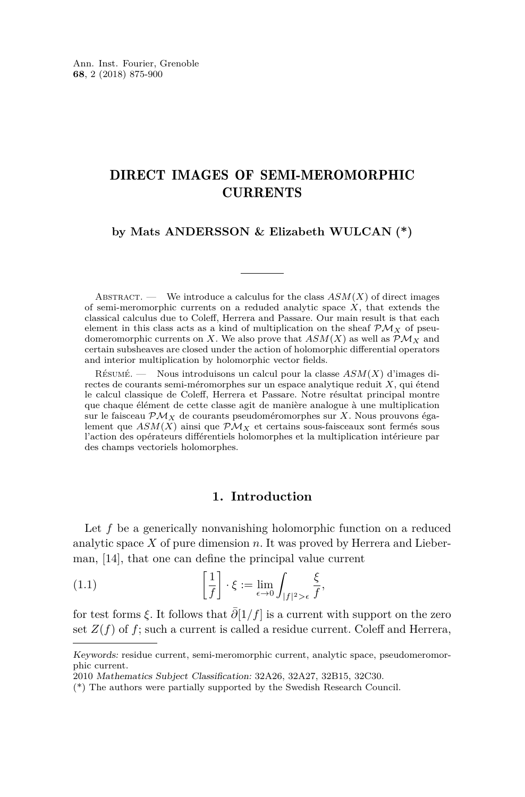## DIRECT IMAGES OF SEMI-MEROMORPHIC CURRENTS

#### **by Mats ANDERSSON & Elizabeth WULCAN (\*)**

ABSTRACT. — We introduce a calculus for the class  $ASM(X)$  of direct images of semi-meromorphic currents on a reduded analytic space *X*, that extends the classical calculus due to Coleff, Herrera and Passare. Our main result is that each element in this class acts as a kind of multiplication on the sheaf  $\mathcal{PM}_X$  of pseudomeromorphic currents on *X*. We also prove that  $ASM(X)$  as well as  $\mathcal{PM}_X$  and certain subsheaves are closed under the action of holomorphic differential operators and interior multiplication by holomorphic vector fields.

Résumé. — Nous introduisons un calcul pour la classe *ASM*(*X*) d'images directes de courants semi-méromorphes sur un espace analytique reduit *X*, qui étend le calcul classique de Coleff, Herrera et Passare. Notre résultat principal montre que chaque élément de cette classe agit de manière analogue à une multiplication sur le faisceau  $\mathcal{PM}_X$  de courants pseudoméromorphes sur *X*. Nous prouvons également que  $ASM(X)$  ainsi que  $P\mathcal{M}_X$  et certains sous-faisceaux sont fermés sous l'action des opérateurs différentiels holomorphes et la multiplication intérieure par des champs vectoriels holomorphes.

#### <span id="page-1-0"></span>**1. Introduction**

Let f be a generically nonvanishing holomorphic function on a reduced analytic space *X* of pure dimension *n*. It was proved by Herrera and Lieberman, [\[14\]](#page-25-0), that one can define the principal value current

(1.1) 
$$
\left[\frac{1}{f}\right] \cdot \xi := \lim_{\epsilon \to 0} \int_{|f|^2 > \epsilon} \frac{\xi}{f},
$$

for test forms  $\xi$ . It follows that  $\overline{\partial}[1/f]$  is a current with support on the zero set  $Z(f)$  of  $f$ ; such a current is called a residue current. Coleff and Herrera,

Keywords: residue current, semi-meromorphic current, analytic space, pseudomeromorphic current.

<sup>2010</sup> Mathematics Subject Classification: 32A26, 32A27, 32B15, 32C30.

<sup>(\*)</sup> The authors were partially supported by the Swedish Research Council.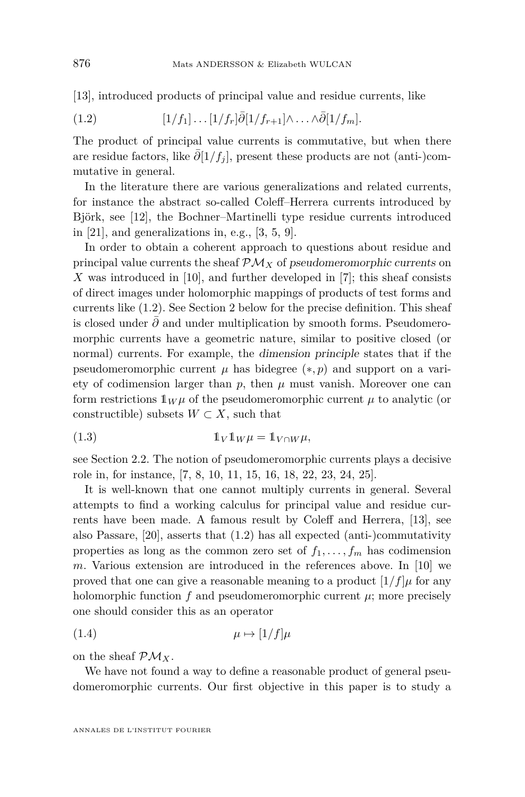[\[13\]](#page-25-1), introduced products of principal value and residue currents, like

<span id="page-2-0"></span>(1.2) 
$$
[1/f_1] \dots [1/f_r] \bar{\partial} [1/f_{r+1}] \wedge \dots \wedge \bar{\partial} [1/f_m].
$$

The product of principal value currents is commutative, but when there are residue factors, like  $\overline{\partial}[1/f_i]$ , present these products are not (anti-)commutative in general.

In the literature there are various generalizations and related currents, for instance the abstract so-called Coleff–Herrera currents introduced by Björk, see [\[12\]](#page-25-2), the Bochner–Martinelli type residue currents introduced in  $[21]$ , and generalizations in, e.g.,  $[3, 5, 9]$  $[3, 5, 9]$  $[3, 5, 9]$  $[3, 5, 9]$  $[3, 5, 9]$ .

In order to obtain a coherent approach to questions about residue and principal value currents the sheaf  $\mathcal{PM}_X$  of pseudomeromorphic currents on *X* was introduced in [\[10\]](#page-25-6), and further developed in [\[7\]](#page-25-7); this sheaf consists of direct images under holomorphic mappings of products of test forms and currents like [\(1.2\)](#page-2-0). See Section [2](#page-3-0) below for the precise definition. This sheaf is closed under *∂*¯ and under multiplication by smooth forms. Pseudomeromorphic currents have a geometric nature, similar to positive closed (or normal) currents. For example, the dimension principle states that if the pseudomeromorphic current  $\mu$  has bidegree  $(*, p)$  and support on a variety of codimension larger than  $p$ , then  $\mu$  must vanish. Moreover one can form restrictions  $1_W \mu$  of the pseudomeromorphic current  $\mu$  to analytic (or constructible) subsets  $W \subset X$ , such that

<span id="page-2-2"></span>(1.3) 
$$
\mathbb{1}_V \mathbb{1}_W \mu = \mathbb{1}_{V \cap W} \mu,
$$

see Section [2.2.](#page-6-0) The notion of pseudomeromorphic currents plays a decisive role in, for instance, [\[7,](#page-25-7) [8,](#page-25-8) [10,](#page-25-6) [11,](#page-25-9) [15,](#page-25-10) [16,](#page-25-11) [18,](#page-25-12) [22,](#page-26-1) [23,](#page-26-2) [24,](#page-26-3) [25\]](#page-26-4).

It is well-known that one cannot multiply currents in general. Several attempts to find a working calculus for principal value and residue currents have been made. A famous result by Coleff and Herrera, [\[13\]](#page-25-1), see also Passare, [\[20\]](#page-26-5), asserts that [\(1.2\)](#page-2-0) has all expected (anti-)commutativity properties as long as the common zero set of  $f_1, \ldots, f_m$  has codimension *m*. Various extension are introduced in the references above. In [\[10\]](#page-25-6) we proved that one can give a reasonable meaning to a product  $[1/f]\mu$  for any holomorphic function  $f$  and pseudomeromorphic current  $\mu$ ; more precisely one should consider this as an operator

<span id="page-2-1"></span>
$$
\mu \mapsto [1/f]\mu
$$

on the sheaf  $\mathcal{PM}_X$ .

We have not found a way to define a reasonable product of general pseudomeromorphic currents. Our first objective in this paper is to study a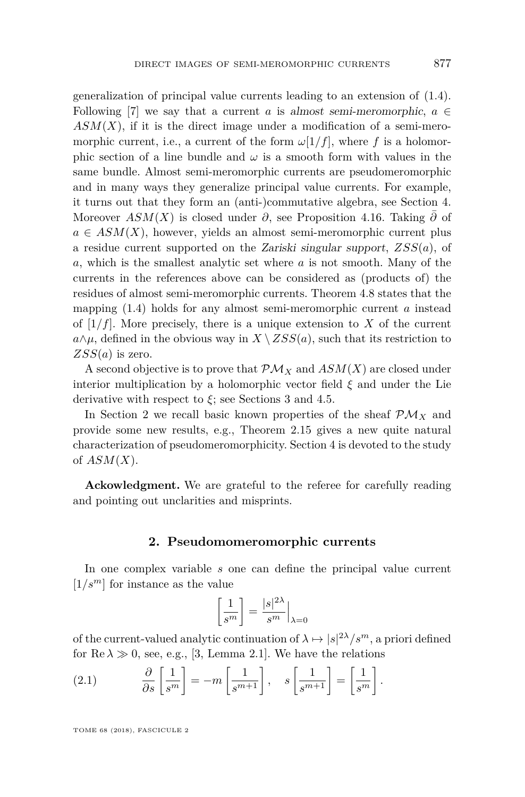generalization of principal value currents leading to an extension of [\(1.4\)](#page-2-1). Following [\[7\]](#page-25-7) we say that a current *a* is almost semi-meromorphic,  $a \in$  $ASM(X)$ , if it is the direct image under a modification of a semi-meromorphic current, i.e., a current of the form  $\omega[1/f]$ , where f is a holomorphic section of a line bundle and  $\omega$  is a smooth form with values in the same bundle. Almost semi-meromorphic currents are pseudomeromorphic and in many ways they generalize principal value currents. For example, it turns out that they form an (anti-)commutative algebra, see Section [4.](#page-13-0) Moreover  $ASM(X)$  is closed under  $\partial$ , see Proposition [4.16.](#page-20-0) Taking  $\overline{\partial}$  of  $a \in ASM(X)$ , however, yields an almost semi-meromorphic current plus a residue current supported on the Zariski singular support, *ZSS*(*a*), of *a*, which is the smallest analytic set where *a* is not smooth. Many of the currents in the references above can be considered as (products of) the residues of almost semi-meromorphic currents. Theorem [4.8](#page-17-0) states that the mapping [\(1.4\)](#page-2-1) holds for any almost semi-meromorphic current *a* instead of  $[1/f]$ . More precisely, there is a unique extension to X of the current  $a \wedge \mu$ , defined in the obvious way in  $X \setminus ZSS(a)$ , such that its restriction to *ZSS*(*a*) is zero.

A second objective is to prove that  $\mathcal{PM}_X$  and  $ASM(X)$  are closed under interior multiplication by a holomorphic vector field *ξ* and under the Lie derivative with respect to  $\xi$ ; see Sections [3](#page-11-0) and [4.5.](#page-24-0)

In Section [2](#page-3-0) we recall basic known properties of the sheaf  $\mathcal{PM}_X$  and provide some new results, e.g., Theorem [2.15](#page-10-0) gives a new quite natural characterization of pseudomeromorphicity. Section [4](#page-13-0) is devoted to the study of *ASM*(*X*).

**Ackowledgment.** We are grateful to the referee for carefully reading and pointing out unclarities and misprints.

#### **2. Pseudomomeromorphic currents**

<span id="page-3-0"></span>In one complex variable *s* one can define the principal value current  $[1/s^m]$  for instance as the value

$$
\left[\frac{1}{s^m}\right] = \frac{|s|^{2\lambda}}{s^m}\Big|_{\lambda=0}
$$

of the current-valued analytic continuation of  $\lambda \mapsto |s|^{2\lambda}/s^m$ , a priori defined for  $\text{Re }\lambda \gg 0$ , see, e.g., [\[3,](#page-25-3) Lemma 2.1]. We have the relations

<span id="page-3-1"></span>(2.1) 
$$
\frac{\partial}{\partial s} \left[ \frac{1}{s^m} \right] = -m \left[ \frac{1}{s^{m+1}} \right], \quad s \left[ \frac{1}{s^{m+1}} \right] = \left[ \frac{1}{s^m} \right].
$$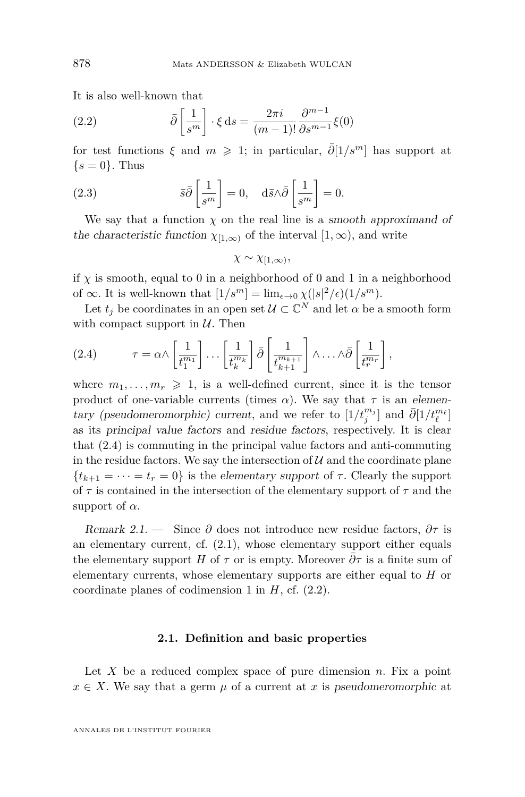It is also well-known that

<span id="page-4-1"></span>(2.2) 
$$
\bar{\partial} \left[ \frac{1}{s^m} \right] \cdot \xi \, ds = \frac{2\pi i}{(m-1)!} \frac{\partial^{m-1}}{\partial s^{m-1}} \xi(0)
$$

for test functions  $\xi$  and  $m \geq 1$ ; in particular,  $\overline{\partial}[1/s^m]$  has support at  $\{s=0\}$ . Thus

(2.3) 
$$
\bar{s}\bar{\partial}\left[\frac{1}{s^m}\right] = 0, \quad d\bar{s}\wedge\bar{\partial}\left[\frac{1}{s^m}\right] = 0.
$$

We say that a function  $\chi$  on the real line is a smooth approximand of the characteristic function  $\chi_{[1,\infty)}$  of the interval  $[1,\infty)$ , and write

$$
\chi \sim \chi_{[1,\infty)},
$$

if  $\chi$  is smooth, equal to 0 in a neighborhood of 0 and 1 in a neighborhood of  $\infty$ . It is well-known that  $[1/s^m] = \lim_{\epsilon \to 0} \chi(|s|^2/\epsilon)(1/s^m)$ .

Let  $t_j$  be coordinates in an open set  $\mathcal{U} \subset \mathbb{C}^N$  and let  $\alpha$  be a smooth form with compact support in  $U$ . Then

<span id="page-4-0"></span>(2.4) 
$$
\tau = \alpha \wedge \left[\frac{1}{t_1^{m_1}}\right] \dots \left[\frac{1}{t_k^{m_k}}\right] \bar{\partial} \left[\frac{1}{t_{k+1}^{m_{k+1}}}\right] \wedge \dots \wedge \bar{\partial} \left[\frac{1}{t_r^{m_r}}\right],
$$

where  $m_1, \ldots, m_r \geq 1$ , is a well-defined current, since it is the tensor product of one-variable currents (times  $\alpha$ ). We say that  $\tau$  is an elementary (pseudomeromorphic) current, and we refer to  $[1/t_j^{m_j}]$  and  $\bar{\partial}[1/t_\ell^{m_\ell}]$ as its principal value factors and residue factors, respectively. It is clear that [\(2.4\)](#page-4-0) is commuting in the principal value factors and anti-commuting in the residue factors. We say the intersection of  $U$  and the coordinate plane  ${t_{k+1} = \cdots = t_r = 0}$  is the elementary support of  $\tau$ . Clearly the support of *τ* is contained in the intersection of the elementary support of *τ* and the support of  $\alpha$ .

<span id="page-4-2"></span>Remark 2.1. — Since  $\partial$  does not introduce new residue factors,  $\partial \tau$  is an elementary current, cf. [\(2.1\)](#page-3-1), whose elementary support either equals the elementary support *H* of  $\tau$  or is empty. Moreover  $\partial \tau$  is a finite sum of elementary currents, whose elementary supports are either equal to *H* or coordinate planes of codimension 1 in *H*, cf. [\(2.2\)](#page-4-1).

#### **2.1. Definition and basic properties**

Let *X* be a reduced complex space of pure dimension *n*. Fix a point  $x \in X$ . We say that a germ  $\mu$  of a current at *x* is pseudomeromorphic at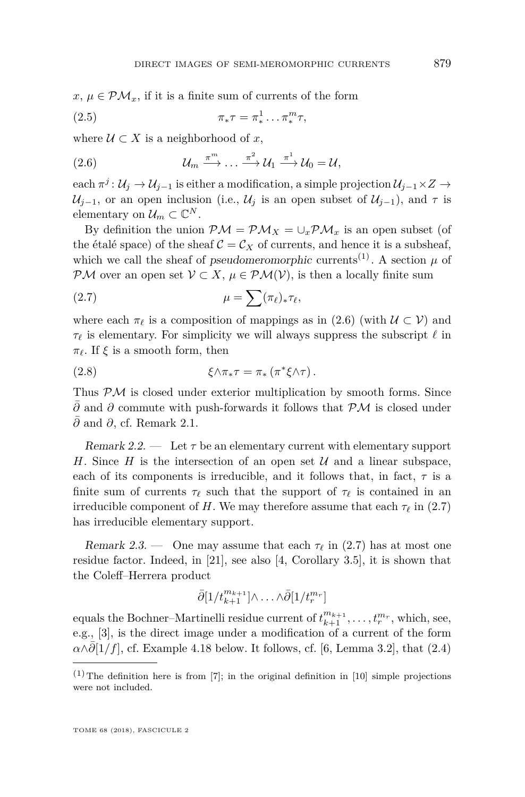$x, \mu \in \mathcal{PM}_x$ , if it is a finite sum of currents of the form

$$
\pi_* \tau = \pi_*^1 \dots \pi_*^m \tau,
$$

where  $U \subset X$  is a neighborhood of x,

<span id="page-5-0"></span>(2.6) 
$$
\mathcal{U}_m \stackrel{\pi^m}{\longrightarrow} \dots \stackrel{\pi^2}{\longrightarrow} \mathcal{U}_1 \stackrel{\pi^1}{\longrightarrow} \mathcal{U}_0 = \mathcal{U},
$$

 $\chi$  each  $\pi^j: \mathcal{U}_j \to \mathcal{U}_{j-1}$  is either a modification, a simple projection  $\mathcal{U}_{j-1} \times Z \to Z$  $\mathcal{U}_{j-1}$ , or an open inclusion (i.e.,  $\mathcal{U}_j$  is an open subset of  $\mathcal{U}_{j-1}$ ), and  $\tau$  is elementary on  $\mathcal{U}_m \subset \mathbb{C}^N$ .

By definition the union  $\mathcal{PM} = \mathcal{PM}_X = \bigcup_x \mathcal{PM}_x$  is an open subset (of the étalé space) of the sheaf  $C = C_X$  of currents, and hence it is a subsheaf, which we call the sheaf of *pseudomeromorphic* currents<sup>(1)</sup>. A section  $\mu$  of PM over an open set  $V \subset X$ ,  $\mu \in \mathcal{PM}(V)$ , is then a locally finite sum

<span id="page-5-1"></span>
$$
\mu = \sum (\pi_{\ell})_* \tau_{\ell},
$$

where each  $\pi_\ell$  is a composition of mappings as in [\(2.6\)](#page-5-0) (with  $\mathcal{U} \subset \mathcal{V}$ ) and  $\tau_\ell$  is elementary. For simplicity we will always suppress the subscript  $\ell$  in  $π$ <sub> $ℓ. If *ξ* is a smooth form, then$ 

<span id="page-5-3"></span>(2.8) 
$$
\xi \wedge \pi_* \tau = \pi_* \left( \pi^* \xi \wedge \tau \right).
$$

Thus  $P\mathcal{M}$  is closed under exterior multiplication by smooth forms. Since *∂* and *∂* commute with push-forwards it follows that PM is closed under *∂*¯ and *∂*, cf. Remark [2.1.](#page-4-2)

<span id="page-5-2"></span>Remark 2.2.  $\qquad$  Let  $\tau$  be an elementary current with elementary support *H*. Since *H* is the intersection of an open set  $U$  and a linear subspace, each of its components is irreducible, and it follows that, in fact,  $\tau$  is a finite sum of currents  $\tau_{\ell}$  such that the support of  $\tau_{\ell}$  is contained in an irreducible component of *H*. We may therefore assume that each  $\tau_{\ell}$  in [\(2.7\)](#page-5-1) has irreducible elementary support.

Remark 2.3. — One may assume that each  $\tau_{\ell}$  in [\(2.7\)](#page-5-1) has at most one residue factor. Indeed, in [\[21\]](#page-26-0), see also [\[4,](#page-25-13) Corollary 3.5], it is shown that the Coleff–Herrera product

$$
\bar{\partial}[1/t^{m_{k+1}}_{k+1}]\wedge\ldots\wedge\bar{\partial}[1/t^{m_r}_r]
$$

equals the Bochner–Martinelli residue current of  $t^{m_{k+1}}_{k+1}, \ldots, t^{m_r}_r$ , which, see, e.g., [\[3\]](#page-25-3), is the direct image under a modification of a current of the form  $\alpha \wedge \partial [1/f]$ , cf. Example [4.18](#page-21-0) below. It follows, cf. [\[6,](#page-25-14) Lemma 3.2], that [\(2.4\)](#page-4-0)

 $(1)$  The definition here is from [\[7\]](#page-25-7); in the original definition in [\[10\]](#page-25-6) simple projections were not included.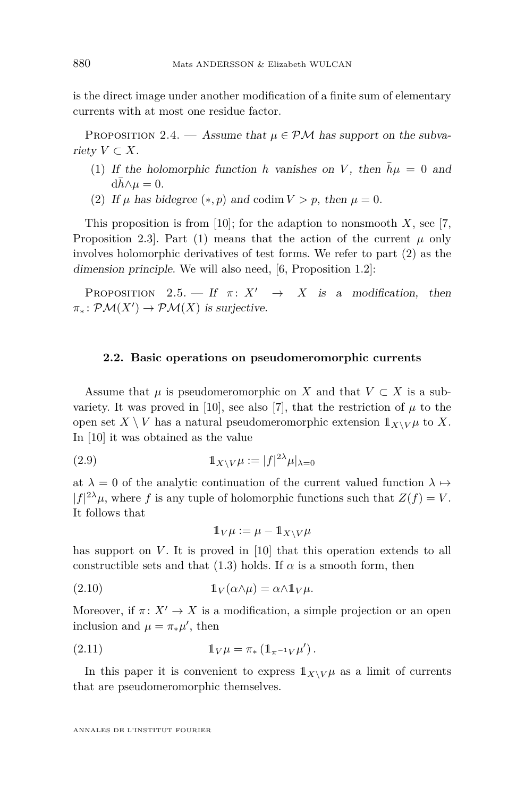is the direct image under another modification of a finite sum of elementary currents with at most one residue factor.

PROPOSITION 2.4. — Assume that  $\mu \in \mathcal{PM}$  has support on the subvariety  $V \subset X$ .

- <span id="page-6-1"></span>(1) If the holomorphic function *h* vanishes on *V*, then  $\bar{h}\mu = 0$  and  $dh \wedge \mu = 0.$
- <span id="page-6-2"></span>(2) If  $\mu$  has bidegree  $(*, p)$  and codim  $V > p$ , then  $\mu = 0$ .

This proposition is from [\[10\]](#page-25-6); for the adaption to nonsmooth *X*, see [\[7,](#page-25-7) Proposition 2.3]. Part [\(1\)](#page-6-1) means that the action of the current  $\mu$  only involves holomorphic derivatives of test forms. We refer to part [\(2\)](#page-6-2) as the dimension principle. We will also need, [\[6,](#page-25-14) Proposition 1.2]:

<span id="page-6-3"></span>PROPOSITION 2.5. — If  $\pi: X' \to X$  is a modification, then  $\pi_*\colon \mathcal{PM}(X') \to \mathcal{PM}(X)$  is surjective.

#### <span id="page-6-0"></span>**2.2. Basic operations on pseudomeromorphic currents**

Assume that  $\mu$  is pseudomeromorphic on *X* and that  $V \subset X$  is a sub-variety. It was proved in [\[10\]](#page-25-6), see also [\[7\]](#page-25-7), that the restriction of  $\mu$  to the open set  $X \setminus V$  has a natural pseudomeromorphic extension  $1_{X \setminus V} \mu$  to X. In [\[10\]](#page-25-6) it was obtained as the value

(2.9) 
$$
\mathbb{1}_{X \setminus V} \mu := |f|^{2\lambda} \mu|_{\lambda=0}
$$

at  $\lambda = 0$  of the analytic continuation of the current valued function  $\lambda \mapsto$  $|f|^{2\lambda}\mu$ , where *f* is any tuple of holomorphic functions such that  $Z(f) = V$ . It follows that

<span id="page-6-5"></span><span id="page-6-4"></span>
$$
\mathbb{1}_V \mu := \mu - \mathbb{1}_{X \setminus V} \mu
$$

has support on *V*. It is proved in [\[10\]](#page-25-6) that this operation extends to all constructible sets and that  $(1.3)$  holds. If  $\alpha$  is a smooth form, then

(2.10) 
$$
\mathbb{1}_V(\alpha \wedge \mu) = \alpha \wedge \mathbb{1}_V \mu.
$$

Moreover, if  $\pi: X' \to X$  is a modification, a simple projection or an open inclusion and  $\mu = \pi_* \mu'$ , then

(2.11) 
$$
\mathbb{1}_V \mu = \pi_* \left( \mathbb{1}_{\pi^{-1} V} \mu' \right).
$$

In this paper it is convenient to express  $1_{X\setminus V}\mu$  as a limit of currents that are pseudomeromorphic themselves.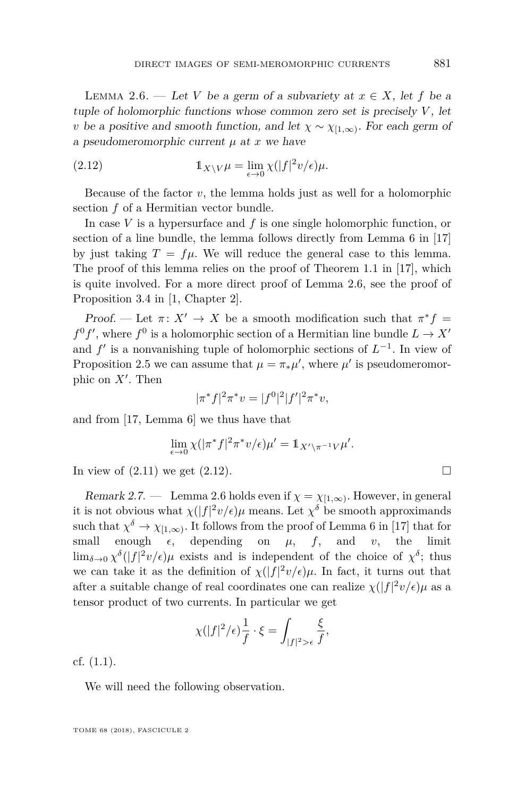<span id="page-7-0"></span>LEMMA 2.6. — Let *V* be a germ of a subvariety at  $x \in X$ , let f be a tuple of holomorphic functions whose common zero set is precisely *V* , let *v* be a positive and smooth function, and let  $\chi \sim \chi_{[1,\infty)}$ . For each germ of a pseudomeromorphic current *µ* at *x* we have

<span id="page-7-1"></span>(2.12) 
$$
\mathbb{1}_{X\setminus V}\mu = \lim_{\epsilon \to 0} \chi(|f|^2 v/\epsilon)\mu.
$$

Because of the factor  $v$ , the lemma holds just as well for a holomorphic section *f* of a Hermitian vector bundle.

In case *V* is a hypersurface and *f* is one single holomorphic function, or section of a line bundle, the lemma follows directly from Lemma 6 in [\[17\]](#page-25-15) by just taking  $T = f\mu$ . We will reduce the general case to this lemma. The proof of this lemma relies on the proof of Theorem 1.1 in [\[17\]](#page-25-15), which is quite involved. For a more direct proof of Lemma [2.6,](#page-7-0) see the proof of Proposition 3.4 in [\[1,](#page-25-16) Chapter 2].

Proof. — Let  $\pi: X' \to X$  be a smooth modification such that  $\pi^* f =$  $f^0 f'$ , where  $f^0$  is a holomorphic section of a Hermitian line bundle  $L \to X'$ and  $f'$  is a nonvanishing tuple of holomorphic sections of  $L^{-1}$ . In view of Proposition [2.5](#page-6-3) we can assume that  $\mu = \pi_* \mu'$ , where  $\mu'$  is pseudomeromorphic on  $X'$ . Then

$$
|\pi^* f|^2 \pi^* v = |f^0|^2 |f'|^2 \pi^* v,
$$

and from [\[17,](#page-25-15) Lemma 6] we thus have that

$$
\lim_{\epsilon \to 0} \chi(|\pi^* f|^2 \pi^* v/\epsilon)\mu' = \mathbb{1}_{X' \setminus \pi^{-1} V} \mu'.
$$

In view of  $(2.11)$  we get  $(2.12)$ .

Remark 2.7. — Lemma [2.6](#page-7-0) holds even if  $\chi = \chi_{[1,\infty)}$ . However, in general it is not obvious what  $\chi(|f|^2 v/\epsilon)\mu$  means. Let  $\chi^{\delta}$  be smooth approximands such that  $\chi^{\delta} \to \chi_{[1,\infty)}$ . It follows from the proof of Lemma 6 in [\[17\]](#page-25-15) that for small enough  $\epsilon$ , depending on  $\mu$ ,  $f$ , and  $v$ , the limit  $\lim_{\delta \to 0} \chi^{\delta}(|f|^2 v/\epsilon) \mu$  exists and is independent of the choice of  $\chi^{\delta}$ ; thus we can take it as the definition of  $\chi(|f|^2 v/\epsilon)\mu$ . In fact, it turns out that after a suitable change of real coordinates one can realize  $\chi(|f|^2 v/\epsilon) \mu$  as a tensor product of two currents. In particular we get

$$
\chi(|f|^2/\epsilon)\frac{1}{f}\cdot\xi = \int_{|f|^2>\epsilon}\frac{\xi}{f},
$$

cf. [\(1.1\)](#page-1-0).

We will need the following observation.

TOME 68 (2018), FASCICULE 2

$$
\qquad \qquad \Box
$$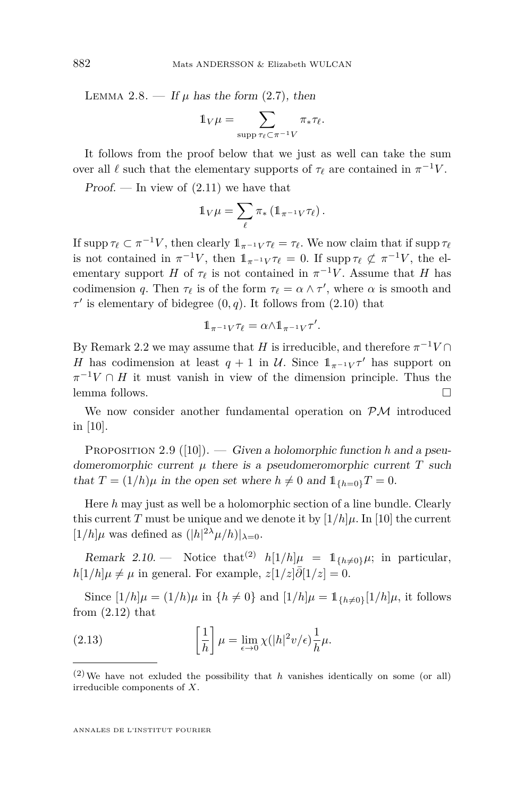LEMMA 2.8. — If  $\mu$  has the form [\(2.7\)](#page-5-1), then

$$
\mathbb{1}_V \mu = \sum_{\text{supp } \tau_\ell \subset \pi^{-1} V} \pi_* \tau_\ell.
$$

It follows from the proof below that we just as well can take the sum over all  $\ell$  such that the elementary supports of  $\tau_{\ell}$  are contained in  $\pi^{-1}V$ .

Proof. — In view of  $(2.11)$  we have that

$$
\mathbb{1}_V \mu = \sum_{\ell} \pi_* \left( \mathbb{1}_{\pi^{-1} V} \tau_{\ell} \right).
$$

If supp  $\tau_\ell \subset \pi^{-1}V$ , then clearly  $1\!\!1_{\pi^{-1}V}\tau_\ell = \tau_\ell$ . We now claim that if supp  $\tau_\ell$ is not contained in  $\pi^{-1}V$ , then  $1\pi^{-1}V\tau_{\ell} = 0$ . If supp  $\tau_{\ell} \not\subset \pi^{-1}V$ , the elementary support *H* of  $\tau_{\ell}$  is not contained in  $\pi^{-1}V$ . Assume that *H* has codimension *q*. Then  $\tau_{\ell}$  is of the form  $\tau_{\ell} = \alpha \wedge \tau'$ , where  $\alpha$  is smooth and  $\tau'$  is elementary of bidegree  $(0, q)$ . It follows from  $(2.10)$  that

$$
\mathbb{1}_{\pi^{-1}V}\tau_\ell=\alpha{\wedge}\mathbb{1}_{\pi^{-1}V}\tau'.
$$

By Remark [2.2](#page-5-2) we may assume that *H* is irreducible, and therefore  $\pi^{-1}V \cap$ *H* has codimension at least  $q + 1$  in U. Since  $1_{\pi^{-1}V} \tau'$  has support on  $\pi^{-1}V \cap H$  it must vanish in view of the dimension principle. Thus the lemma follows.

We now consider another fundamental operation on  $\mathcal{PM}$  introduced in [\[10\]](#page-25-6).

<span id="page-8-1"></span>PROPOSITION 2.9 ([\[10\]](#page-25-6)). — Given a holomorphic function *h* and a pseudomeromorphic current  $\mu$  there is a pseudomeromorphic current  $T$  such that  $T = (1/h)\mu$  in the open set where  $h \neq 0$  and  $\mathbb{1}_{\{h=0\}}T = 0$ .

Here *h* may just as well be a holomorphic section of a line bundle. Clearly this current *T* must be unique and we denote it by  $[1/h]\mu$ . In [\[10\]](#page-25-6) the current  $[1/h]$ *µ* was defined as  $(|h|^{2\lambda} \mu/h)|_{\lambda=0}$ .

<span id="page-8-2"></span>Remark 2.10. — Notice that<sup>(2)</sup>  $h[1/h]\mu = 1_{\{h\neq 0\}}\mu$ ; in particular,  $h[1/h]\mu \neq \mu$  in general. For example,  $z[1/z]\partial[1/z] = 0$ .

Since  $[1/h]\mu = (1/h)\mu$  in  $\{h \neq 0\}$  and  $[1/h]\mu = \mathbb{1}_{\{h \neq 0\}}[1/h]\mu$ , it follows from  $(2.12)$  that

<span id="page-8-0"></span>(2.13) 
$$
\left[\frac{1}{h}\right]\mu = \lim_{\epsilon \to 0} \chi(|h|^2 v/\epsilon)\frac{1}{h}\mu.
$$

 $(2)$  We have not exluded the possibility that *h* vanishes identically on some (or all) irreducible components of *X*.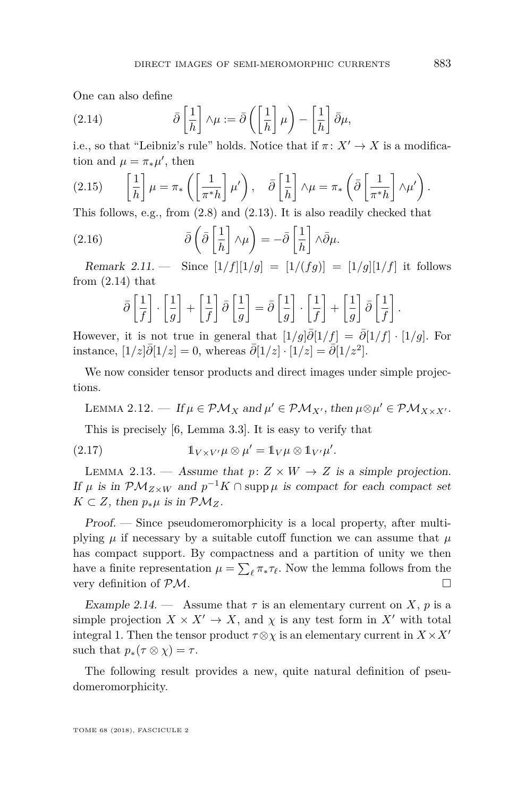One can also define

<span id="page-9-0"></span>(2.14) 
$$
\bar{\partial} \left[ \frac{1}{h} \right] \wedge \mu := \bar{\partial} \left( \left[ \frac{1}{h} \right] \mu \right) - \left[ \frac{1}{h} \right] \bar{\partial} \mu,
$$

i.e., so that "Leibniz's rule" holds. Notice that if  $\pi \colon X' \to X$  is a modification and  $\mu = \pi_* \mu'$ , then

<span id="page-9-2"></span>(2.15) 
$$
\left[\frac{1}{h}\right]\mu = \pi_*\left(\left[\frac{1}{\pi^*h}\right]\mu'\right), \quad \bar{\partial}\left[\frac{1}{h}\right]\wedge\mu = \pi_*\left(\bar{\partial}\left[\frac{1}{\pi^*h}\right]\wedge\mu'\right).
$$

This follows, e.g., from [\(2.8\)](#page-5-3) and [\(2.13\)](#page-8-0). It is also readily checked that

(2.16) 
$$
\bar{\partial}\left(\bar{\partial}\left[\frac{1}{h}\right]\wedge\mu\right) = -\bar{\partial}\left[\frac{1}{h}\right]\wedge\bar{\partial}\mu.
$$

<span id="page-9-3"></span>Remark 2.11. — Since  $[1/f][1/g] = [1/(fg)] = [1/g][1/f]$  it follows from  $(2.14)$  that

$$
\bar{\partial}\left[\frac{1}{f}\right]\cdot\left[\frac{1}{g}\right]+\left[\frac{1}{f}\right]\bar{\partial}\left[\frac{1}{g}\right]=\bar{\partial}\left[\frac{1}{g}\right]\cdot\left[\frac{1}{f}\right]+\left[\frac{1}{g}\right]\bar{\partial}\left[\frac{1}{f}\right].
$$

However, it is not true in general that  $[1/g]\partial[1/f] = \partial[1/f] \cdot [1/g]$ . For instance,  $[1/z]\bar{\partial}[1/z] = 0$ , whereas  $\bar{\partial}[1/z] \cdot [1/z] = \bar{\partial}[1/z^2]$ .

We now consider tensor products and direct images under simple projections.

LEMMA 2.12. — If  $\mu \in \mathcal{PM}_X$  and  $\mu' \in \mathcal{PM}_{X'}$ , then  $\mu \otimes \mu' \in \mathcal{PM}_{X \times X'}$ .

This is precisely [\[6,](#page-25-14) Lemma 3.3]. It is easy to verify that

(2.17) 
$$
\mathbb{1}_{V \times V'} \mu \otimes \mu' = \mathbb{1}_V \mu \otimes \mathbb{1}_{V'} \mu'.
$$

<span id="page-9-1"></span>LEMMA 2.13. — Assume that  $p: Z \times W \to Z$  is a simple projection. If  $\mu$  is in  $\mathcal{PM}_{Z\times W}$  and  $p^{-1}K \cap \text{supp }\mu$  is compact for each compact set *K* ⊂ *Z*, then  $p_*\mu$  is in  $\mathcal{PM}_Z$ .

Proof. — Since pseudomeromorphicity is a local property, after multiplying  $\mu$  if necessary by a suitable cutoff function we can assume that  $\mu$ has compact support. By compactness and a partition of unity we then have a finite representation  $\mu = \sum_{\ell} \pi_{*} \tau_{\ell}$ . Now the lemma follows from the very definition of PM.

Example 2.14. — Assume that  $\tau$  is an elementary current on *X*, *p* is a simple projection  $X \times X' \to X$ , and  $\chi$  is any test form in X<sup> $\prime$ </sup> with total integral 1. Then the tensor product  $\tau \otimes \chi$  is an elementary current in  $X \times X'$ such that  $p_*(\tau \otimes \chi) = \tau$ .

The following result provides a new, quite natural definition of pseudomeromorphicity.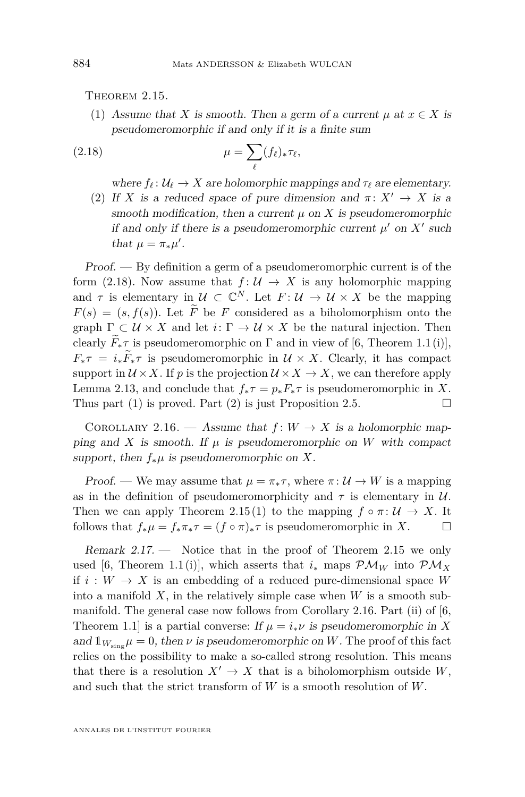<span id="page-10-2"></span><span id="page-10-0"></span>THEOREM 2.15.

(1) Assume that *X* is smooth. Then a germ of a current  $\mu$  at  $x \in X$  is pseudomeromorphic if and only if it is a finite sum

(2.18) 
$$
\mu = \sum_{\ell} (f_{\ell})_{*} \tau_{\ell},
$$

<span id="page-10-1"></span>where  $f_\ell: U_\ell \to X$  are holomorphic mappings and  $\tau_\ell$  are elementary.

<span id="page-10-3"></span>(2) If *X* is a reduced space of pure dimension and  $\pi: X' \to X$  is a smooth modification, then a current  $\mu$  on  $\overline{X}$  is pseudomeromorphic if and only if there is a pseudomeromorphic current  $\mu'$  on  $X'$  such that  $\mu = \pi_* \mu'.$ 

Proof. — By definition a germ of a pseudomeromorphic current is of the form [\(2.18\)](#page-10-1). Now assume that  $f: U \to X$  is any holomorphic mapping and  $\tau$  is elementary in  $\mathcal{U} \subset \mathbb{C}^N$ . Let  $F: \mathcal{U} \to \mathcal{U} \times X$  be the mapping  $F(s) = (s, f(s))$ . Let  $\widetilde{F}$  be *F* considered as a biholomorphism onto the graph  $\Gamma \subset \mathcal{U} \times X$  and let  $i: \Gamma \to \mathcal{U} \times X$  be the natural injection. Then clearly  $F_*\tau$  is pseudomeromorphic on  $\Gamma$  and in view of [\[6,](#page-25-14) Theorem 1.1(i)],  $F_*\tau = i_*\bar{F}_*\tau$  is pseudomeromorphic in  $\mathcal{U} \times X$ . Clearly, it has compact support in  $\mathcal{U} \times X$ . If p is the projection  $\mathcal{U} \times X \to X$ , we can therefore apply Lemma [2.13,](#page-9-1) and conclude that  $f_*\tau = p_* F_*\tau$  is pseudomeromorphic in X. Thus part [\(1\)](#page-10-2) is proved. Part [\(2\)](#page-10-3) is just Proposition [2.5.](#page-6-3)  $\Box$ 

<span id="page-10-4"></span>COROLLARY 2.16. — Assume that  $f: W \to X$  is a holomorphic mapping and *X* is smooth. If  $\mu$  is pseudomeromorphic on *W* with compact support, then  $f_*\mu$  is pseudomeromorphic on X.

Proof. — We may assume that  $\mu = \pi_* \tau$ , where  $\pi : \mathcal{U} \to W$  is a mapping as in the definition of pseudomeromorphicity and  $\tau$  is elementary in  $\mathcal{U}$ . Then we can apply Theorem [2.15](#page-10-0)[\(1\)](#page-10-2) to the mapping  $f \circ \pi : \mathcal{U} \to X$ . It follows that  $f_*\mu = f_*\pi_*\tau = (f \circ \pi)_*\tau$  is pseudomeromorphic in X.

Remark 2.17. — Notice that in the proof of Theorem [2.15](#page-10-0) we only used [\[6,](#page-25-14) Theorem 1.1(i)], which asserts that  $i_*$  maps  $\mathcal{PM}_W$  into  $\mathcal{PM}_X$ if  $i: W \to X$  is an embedding of a reduced pure-dimensional space W into a manifold  $X$ , in the relatively simple case when  $W$  is a smooth submanifold. The general case now follows from Corollary [2.16.](#page-10-4) Part (ii) of [\[6,](#page-25-14) Theorem 1.1] is a partial converse: If  $\mu = i_* \nu$  is pseudomeromorphic in X and  $\mathbb{1}_{W_{\text{sing}}}\mu = 0$ , then  $\nu$  is pseudomeromorphic on W. The proof of this fact relies on the possibility to make a so-called strong resolution. This means that there is a resolution  $X' \to X$  that is a biholomorphism outside W, and such that the strict transform of *W* is a smooth resolution of *W*.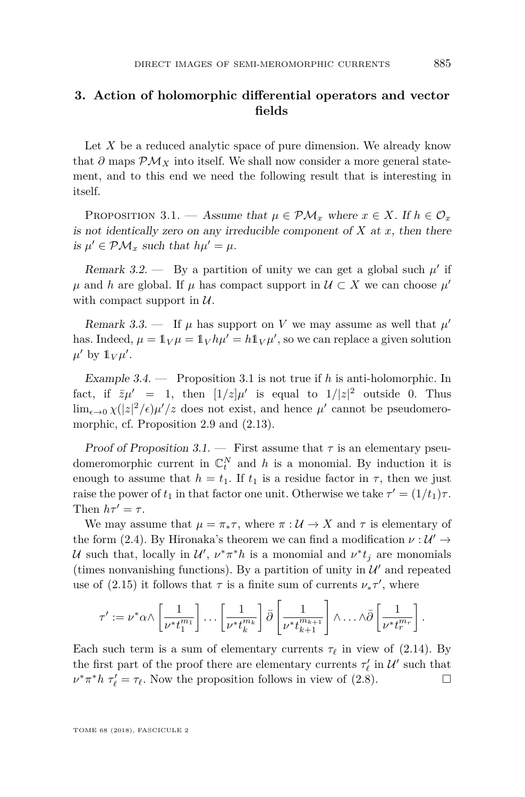### <span id="page-11-0"></span>**3. Action of holomorphic differential operators and vector fields**

Let X be a reduced analytic space of pure dimension. We already know that  $\partial$  maps  $\mathcal{PM}_X$  into itself. We shall now consider a more general statement, and to this end we need the following result that is interesting in itself.

<span id="page-11-1"></span>PROPOSITION 3.1. — Assume that  $\mu \in \mathcal{PM}_x$  where  $x \in X$ . If  $h \in \mathcal{O}_x$ is not identically zero on any irreducible component of  $X$  at  $x$ , then there is  $\mu' \in \mathcal{PM}_x$  such that  $h\mu' = \mu$ .

<span id="page-11-2"></span>Remark 3.2.  $\qquad$  By a partition of unity we can get a global such  $\mu'$  if  $\mu$  and *h* are global. If  $\mu$  has compact support in  $\mathcal{U} \subset X$  we can choose  $\mu'$ with compact support in  $U$ .

Remark 3.3. — If  $\mu$  has support on *V* we may assume as well that  $\mu'$ has. Indeed,  $\mu = \mathbb{1}_V \mu = \mathbb{1}_V h \mu' = h \mathbb{1}_V \mu'$ , so we can replace a given solution  $\mu'$  by  $1_V \mu'$ .

Example 3.4. — Proposition [3.1](#page-11-1) is not true if *h* is anti-holomorphic. In fact, if  $\bar{z}\mu' = 1$ , then  $[1/z]\mu'$  is equal to  $1/|z|^2$  outside 0. Thus  $\lim_{\epsilon \to 0} \chi(|z|^2/\epsilon) \mu'/z$  does not exist, and hence  $\mu'$  cannot be pseudomeromorphic, cf. Proposition [2.9](#page-8-1) and [\(2.13\)](#page-8-0).

Proof of Proposition [3.1.](#page-11-1) — First assume that  $\tau$  is an elementary pseudomeromorphic current in  $\mathbb{C}_t^N$  and *h* is a monomial. By induction it is enough to assume that  $h = t_1$ . If  $t_1$  is a residue factor in  $\tau$ , then we just raise the power of  $t_1$  in that factor one unit. Otherwise we take  $\tau' = (1/t_1)\tau$ . Then  $h\tau' = \tau$ .

We may assume that  $\mu = \pi_* \tau$ , where  $\pi : \mathcal{U} \to X$  and  $\tau$  is elementary of the form [\(2.4\)](#page-4-0). By Hironaka's theorem we can find a modification  $\nu : U' \rightarrow$ U such that, locally in  $\mathcal{U}'$ ,  $\nu^* \pi^* h$  is a monomial and  $\nu^* t_j$  are monomials (times nonvanishing functions). By a partition of unity in  $\mathcal{U}'$  and repeated use of [\(2.15\)](#page-9-2) it follows that  $\tau$  is a finite sum of currents  $\nu_*\tau'$ , where

$$
\tau' := \nu^* \alpha \wedge \left[\frac{1}{\nu^* t_1^{m_1}}\right] \dots \left[\frac{1}{\nu^* t_k^{m_k}}\right] \bar{\partial} \left[\frac{1}{\nu^* t_{k+1}^{m_{k+1}}}\right] \wedge \dots \wedge \bar{\partial} \left[\frac{1}{\nu^* t_r^{m_r}}\right].
$$

Each such term is a sum of elementary currents  $\tau_{\ell}$  in view of [\(2.14\)](#page-9-0). By the first part of the proof there are elementary currents  $\tau'_{\ell}$  in  $\mathcal{U}'$  such that  $\nu^* \pi^* h \tau'_{\ell} = \tau_{\ell}$ . Now the proposition follows in view of [\(2.8\)](#page-5-3).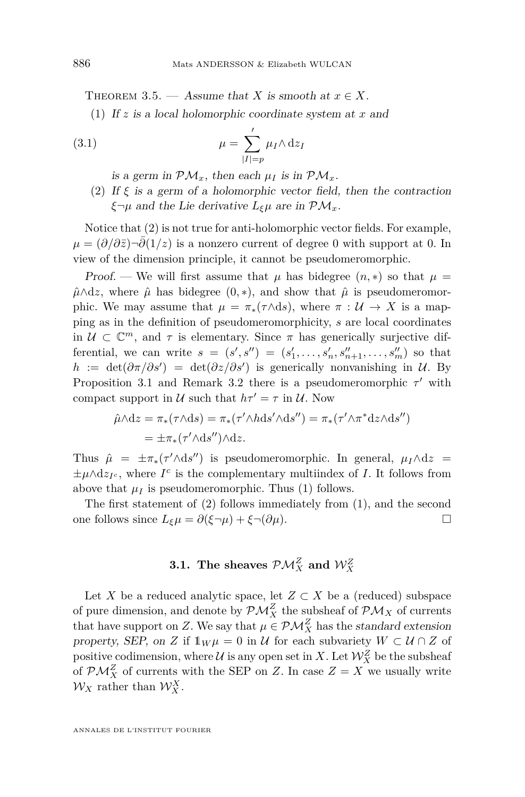<span id="page-12-2"></span><span id="page-12-1"></span>THEOREM 3.5. — Assume that *X* is smooth at  $x \in X$ .

(1) If *z* is a local holomorphic coordinate system at *x* and

(3.1) 
$$
\mu = \sum_{|I|=p}^{\prime} \mu_I \wedge dz_I
$$

is a germ in  $\mathcal{PM}_x$ , then each  $\mu_I$  is in  $\mathcal{PM}_x$ .

<span id="page-12-0"></span>(2) If  $\xi$  is a germ of a holomorphic vector field, then the contraction *ξ*¬*µ* and the Lie derivative *Lξµ* are in PM*x*.

Notice that [\(2\)](#page-12-0) is not true for anti-holomorphic vector fields. For example,  $\mu = (\partial/\partial \bar{z})$  $\neg \partial (1/z)$  is a nonzero current of degree 0 with support at 0. In view of the dimension principle, it cannot be pseudomeromorphic.

Proof. — We will first assume that  $\mu$  has bidegree  $(n,*)$  so that  $\mu =$  $\hat{\mu} \wedge dz$ , where  $\hat{\mu}$  has bidegree  $(0, *)$ , and show that  $\hat{\mu}$  is pseudomeromorphic. We may assume that  $\mu = \pi_*(\tau \wedge ds)$ , where  $\pi : \mathcal{U} \to X$  is a mapping as in the definition of pseudomeromorphicity, *s* are local coordinates in  $U \subset \mathbb{C}^m$ , and  $\tau$  is elementary. Since  $\pi$  has generically surjective differential, we can write  $s = (s', s'') = (s'_1, \ldots, s'_n, s''_{n+1}, \ldots, s'_m)$  so that  $h := det(\partial \pi/\partial s') = det(\partial z/\partial s')$  is generically nonvanishing in U. By Proposition [3.1](#page-11-1) and Remark [3.2](#page-11-2) there is a pseudomeromorphic  $\tau'$  with compact support in  $U$  such that  $h\tau' = \tau$  in  $U$ . Now

$$
\hat{\mu} \wedge dz = \pi_*(\tau \wedge ds) = \pi_*(\tau' \wedge h ds' \wedge ds'') = \pi_*(\tau' \wedge \pi^* dz \wedge ds'')
$$
  
=  $\pm \pi_*(\tau' \wedge ds'') \wedge dz.$ 

Thus  $\hat{\mu} = \pm \pi_*(\tau' \wedge ds'')$  is pseudomeromorphic. In general,  $\mu_I \wedge dz =$  $\pm \mu \wedge dz_{I^c}$ , where  $I^c$  is the complementary multiindex of *I*. It follows from above that  $\mu_I$  is pseudomeromorphic. Thus [\(1\)](#page-12-1) follows.

The first statement of [\(2\)](#page-12-0) follows immediately from [\(1\)](#page-12-1), and the second one follows since  $L_{\xi}\mu = \partial(\xi \neg \mu) + \xi \neg(\partial \mu)$ .

## **3.1.** The sheaves  $\mathcal{PM}_{X}^{Z}$  and  $\mathcal{W}_{X}^{Z}$

Let *X* be a reduced analytic space, let  $Z \subset X$  be a (reduced) subspace of pure dimension, and denote by  $\mathcal{PM}_{X}^Z$  the subsheaf of  $\mathcal{PM}_{X}$  of currents that have support on *Z*. We say that  $\mu \in \mathcal{PM}_X^Z$  has the standard extension property, SEP, on *Z* if  $1_W \mu = 0$  in *U* for each subvariety  $W \subset U \cap Z$  of positive codimension, where  $\mathcal U$  is any open set in  $X$ . Let  $\mathcal W^Z_X$  be the subsheaf of  $\mathcal{PM}_X^Z$  of currents with the SEP on *Z*. In case  $Z = X$  we usually write  $\mathcal{W}_X$  rather than  $\mathcal{W}_X^X$ .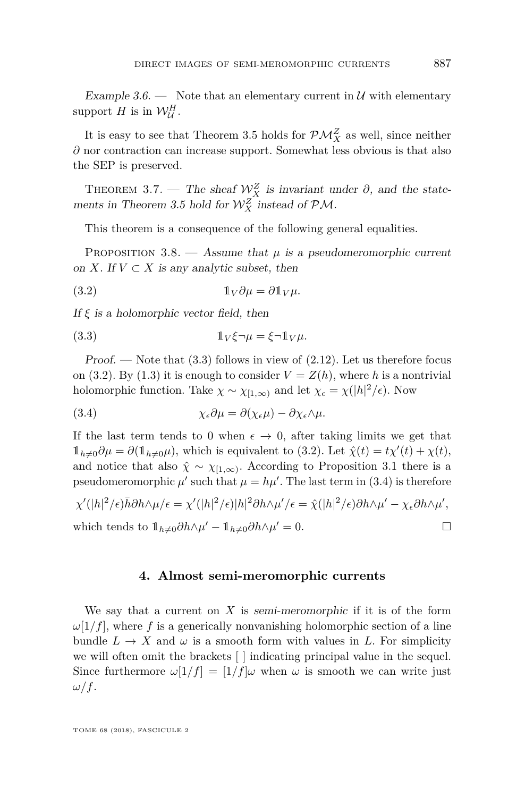Example 3.6. — Note that an elementary current in  $\mathcal{U}$  with elementary support *H* is in  $\mathcal{W}_{\mathcal{U}}^H$ .

It is easy to see that Theorem [3.5](#page-12-2) holds for  $\mathcal{PM}_X^Z$  as well, since neither *∂* nor contraction can increase support. Somewhat less obvious is that also the SEP is preserved.

THEOREM 3.7. — The sheaf  $\mathcal{W}_X^Z$  is invariant under  $\partial$ , and the state-ments in Theorem [3.5](#page-12-2) hold for  $\mathcal{W}_X^Z$  instead of  $\mathcal{PM}$ .

<span id="page-13-2"></span>This theorem is a consequence of the following general equalities.

PROPOSITION 3.8. — Assume that  $\mu$  is a pseudomeromorphic current on *X*. If  $V \subset X$  is any analytic subset, then

(3.2) 
$$
\mathbb{1}_V \partial \mu = \partial \mathbb{1}_V \mu.
$$

If *ξ* is a holomorphic vector field, then

<span id="page-13-1"></span>(3.3) 
$$
\mathbb{1}_V \xi \neg \mu = \xi \neg \mathbb{1}_V \mu.
$$

Proof. — Note that  $(3.3)$  follows in view of  $(2.12)$ . Let us therefore focus on [\(3.2\)](#page-13-2). By [\(1.3\)](#page-2-2) it is enough to consider  $V = Z(h)$ , where h is a nontrivial holomorphic function. Take  $\chi \sim \chi_{[1,\infty)}$  and let  $\chi_{\epsilon} = \chi(|h|^2/\epsilon)$ . Now

<span id="page-13-3"></span>(3.4) 
$$
\chi_{\epsilon} \partial \mu = \partial(\chi_{\epsilon} \mu) - \partial \chi_{\epsilon} \wedge \mu.
$$

If the last term tends to 0 when  $\epsilon \to 0$ , after taking limits we get that  $1_{h\neq0}\partial\mu = \partial(1_{h\neq0}\mu)$ , which is equivalent to [\(3.2\)](#page-13-2). Let  $\hat{\chi}(t) = t\chi'(t) + \chi(t)$ , and notice that also  $\hat{\chi} \sim \chi_{[1,\infty)}$ . According to Proposition [3.1](#page-11-1) there is a pseudomeromorphic  $\mu'$  such that  $\mu = h\mu'$ . The last term in [\(3.4\)](#page-13-3) is therefore

$$
\chi'(|h|^2/\epsilon)\bar{h}\partial h \wedge \mu/\epsilon = \chi'(|h|^2/\epsilon)|h|^2\partial h \wedge \mu'/\epsilon = \hat{\chi}(|h|^2/\epsilon)\partial h \wedge \mu' - \chi_{\epsilon}\partial h \wedge \mu',
$$
  
which tends to  $1_{h\neq 0}\partial h \wedge \mu' - 1_{h\neq 0}\partial h \wedge \mu' = 0.$ 

#### **4. Almost semi-meromorphic currents**

<span id="page-13-0"></span>We say that a current on *X* is semi-meromorphic if it is of the form  $\omega[1/f]$ , where f is a generically nonvanishing holomorphic section of a line bundle  $L \to X$  and  $\omega$  is a smooth form with values in L. For simplicity we will often omit the brackets [ ] indicating principal value in the sequel. Since furthermore  $\omega[1/f] = [1/f]\omega$  when  $\omega$  is smooth we can write just *ω/f*.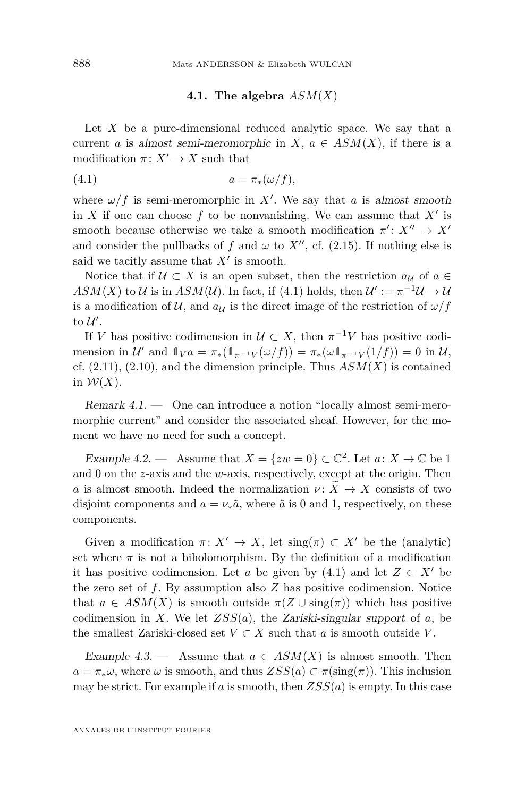#### <span id="page-14-0"></span>**4.1. The algebra** *ASM*(*X*)

Let *X* be a pure-dimensional reduced analytic space. We say that a current *a* is almost semi-meromorphic in *X*,  $a \in ASM(X)$ , if there is a modification  $\pi: X' \to X$  such that

$$
(4.1) \t\t a = \pi_*(\omega/f),
$$

where  $\omega/f$  is semi-meromorphic in X'. We say that *a* is almost smooth in *X* if one can choose  $f$  to be nonvanishing. We can assume that  $X'$  is smooth because otherwise we take a smooth modification  $\pi' : X'' \to X'$ and consider the pullbacks of *f* and  $\omega$  to  $X''$ , cf. [\(2.15\)](#page-9-2). If nothing else is said we tacitly assume that  $X'$  is smooth.

Notice that if  $U \subset X$  is an open subset, then the restriction  $a_{\mathcal{U}}$  of  $a \in$  $ASM(X)$  to U is in  $ASM(\mathcal{U})$ . In fact, if [\(4.1\)](#page-14-0) holds, then  $\mathcal{U}' := \pi^{-1}\mathcal{U} \to \mathcal{U}$ is a modification of U, and  $a_U$  is the direct image of the restriction of  $\omega/f$ to  $\mathcal{U}'$ .

If *V* has positive codimension in  $\mathcal{U} \subset X$ , then  $\pi^{-1}V$  has positive codimension in  $U'$  and  $1\!\!1_V a = \pi_*(1\!\!1_{\pi^{-1}V}(\omega/f)) = \pi_*(\omega 1_{\pi^{-1}V}(1/f)) = 0$  in  $U$ , cf.  $(2.11)$ ,  $(2.10)$ , and the dimension principle. Thus  $ASM(X)$  is contained in  $W(X)$ .

Remark 4.1. — One can introduce a notion "locally almost semi-meromorphic current" and consider the associated sheaf. However, for the moment we have no need for such a concept.

Example 4.2. — Assume that  $X = \{zw = 0\} \subset \mathbb{C}^2$ . Let  $a: X \to \mathbb{C}$  be 1 and 0 on the *z*-axis and the *w*-axis, respectively, except at the origin. Then *a* is almost smooth. Indeed the normalization  $\nu : \tilde{X} \to X$  consists of two disjoint components and  $a = \nu_*\tilde{a}$ , where  $\tilde{a}$  is 0 and 1, respectively, on these components.

Given a modification  $\pi: X' \to X$ , let  $\text{sing}(\pi) \subset X'$  be the (analytic) set where  $\pi$  is not a biholomorphism. By the definition of a modification it has positive codimension. Let *a* be given by [\(4.1\)](#page-14-0) and let  $Z \subset X'$  be the zero set of *f*. By assumption also *Z* has positive codimension. Notice that  $a \in \text{ASM}(X)$  is smooth outside  $\pi(Z \cup \text{sing}(\pi))$  which has positive codimension in *X*. We let *ZSS*(*a*), the Zariski-singular support of *a*, be the smallest Zariski-closed set  $V \subset X$  such that *a* is smooth outside *V*.

Example 4.3. — Assume that  $a \in ASM(X)$  is almost smooth. Then  $a = \pi_* \omega$ , where  $\omega$  is smooth, and thus  $ZSS(a) \subset \pi(\text{sing}(\pi))$ . This inclusion may be strict. For example if *a* is smooth, then *ZSS*(*a*) is empty. In this case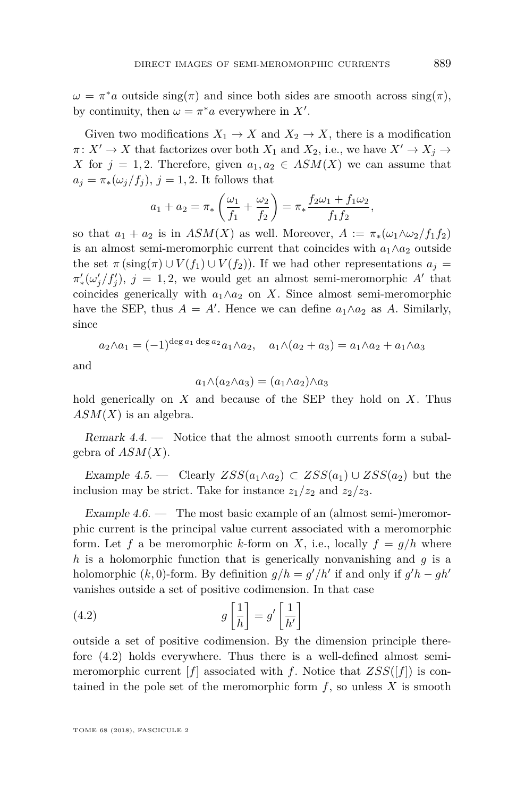$\omega = \pi^*a$  outside  $\text{sing}(\pi)$  and since both sides are smooth across  $\text{sing}(\pi)$ , by continuity, then  $\omega = \pi^* a$  everywhere in X'.

Given two modifications  $X_1 \to X$  and  $X_2 \to X$ , there is a modification  $\pi: X' \to X$  that factorizes over both  $X_1$  and  $X_2$ , i.e., we have  $X' \to X_j \to Y_j$ *X* for  $j = 1, 2$ . Therefore, given  $a_1, a_2 \in \text{ASM}(X)$  we can assume that  $a_j = \pi_*(\omega_j/f_j), j = 1, 2$ . It follows that

$$
a_1 + a_2 = \pi_* \left( \frac{\omega_1}{f_1} + \frac{\omega_2}{f_2} \right) = \pi_* \frac{f_2 \omega_1 + f_1 \omega_2}{f_1 f_2},
$$

so that  $a_1 + a_2$  is in  $ASM(X)$  as well. Moreover,  $A := \pi_*(\omega_1 \wedge \omega_2 / f_1 f_2)$ is an almost semi-meromorphic current that coincides with  $a_1 \wedge a_2$  outside the set  $\pi(\text{sing}(\pi) \cup V(f_1) \cup V(f_2))$ . If we had other representations  $a_i =$  $\pi'_*(\omega'_j/f'_j), j = 1, 2$ , we would get an almost semi-meromorphic *A*<sup> $\prime$ </sup> that coincides generically with  $a_1 \wedge a_2$  on *X*. Since almost semi-meromorphic have the SEP, thus  $A = A'$ . Hence we can define  $a_1 \wedge a_2$  as  $A$ . Similarly, since

$$
a_2 \wedge a_1 = (-1)^{\deg a_1 \deg a_2} a_1 \wedge a_2, \quad a_1 \wedge (a_2 + a_3) = a_1 \wedge a_2 + a_1 \wedge a_3
$$

and

$$
a_1 \wedge (a_2 \wedge a_3) = (a_1 \wedge a_2) \wedge a_3
$$

hold generically on *X* and because of the SEP they hold on *X*. Thus *ASM*(*X*) is an algebra.

Remark 4.4. — Notice that the almost smooth currents form a subalgebra of *ASM*(*X*).

Example 4.5. — Clearly  $ZSS(a_1 \wedge a_2) \subset ZSS(a_1) \cup ZSS(a_2)$  but the inclusion may be strict. Take for instance  $z_1/z_2$  and  $z_2/z_3$ .

Example  $4.6.$  — The most basic example of an (almost semi-)meromorphic current is the principal value current associated with a meromorphic form. Let f a be meromorphic k-form on X, i.e., locally  $f = g/h$  where *h* is a holomorphic function that is generically nonvanishing and *g* is a holomorphic  $(k, 0)$ -form. By definition  $g/h = g'/h'$  if and only if  $g'h - gh'$ vanishes outside a set of positive codimension. In that case

<span id="page-15-0"></span>(4.2) 
$$
g\left[\frac{1}{h}\right] = g'\left[\frac{1}{h'}\right]
$$

outside a set of positive codimension. By the dimension principle therefore [\(4.2\)](#page-15-0) holds everywhere. Thus there is a well-defined almost semimeromorphic current  $[f]$  associated with *f*. Notice that  $ZSS([f])$  is contained in the pole set of the meromorphic form  $f$ , so unless  $X$  is smooth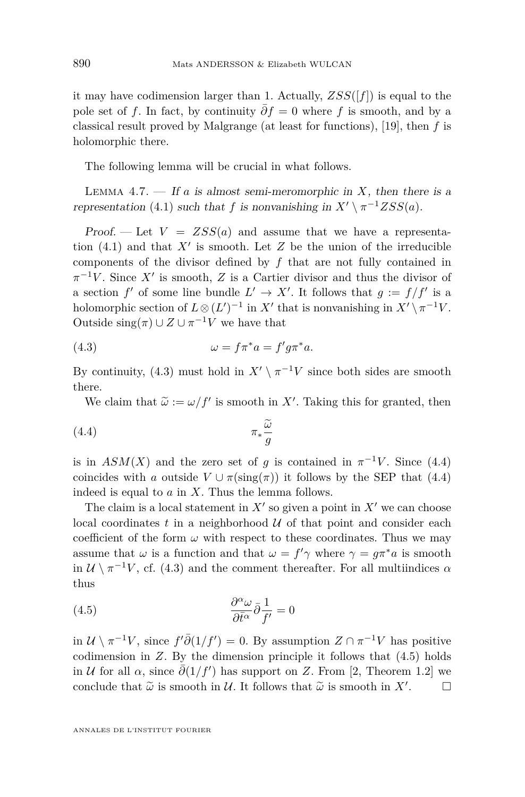it may have codimension larger than 1. Actually,  $ZSS([f])$  is equal to the pole set of *f*. In fact, by continuity  $\partial f = 0$  where *f* is smooth, and by a classical result proved by Malgrange (at least for functions), [\[19\]](#page-25-17), then *f* is holomorphic there.

The following lemma will be crucial in what follows.

<span id="page-16-3"></span>LEMMA 4.7.  $\overline{\phantom{a}}$  If *a* is almost semi-meromorphic in *X*, then there is a representation [\(4.1\)](#page-14-0) such that *f* is nonvanishing in  $X' \setminus \pi^{-1} ZSS(a)$ .

Proof. — Let  $V = ZSS(a)$  and assume that we have a representation  $(4.1)$  and that  $X'$  is smooth. Let  $Z$  be the union of the irreducible components of the divisor defined by *f* that are not fully contained in  $\pi^{-1}V$ . Since X<sup>*i*</sup> is smooth, Z is a Cartier divisor and thus the divisor of a section  $f'$  of some line bundle  $L' \to X'$ . It follows that  $g := f/f'$  is a holomorphic section of  $L \otimes (L')^{-1}$  in  $X'$  that is nonvanishing in  $X' \setminus \pi^{-1}V$ . Outside  $\operatorname{sing}(\pi) \cup Z \cup \pi^{-1}V$  we have that

<span id="page-16-0"></span>(4.3) 
$$
\omega = f \pi^* a = f' g \pi^* a.
$$

By continuity, [\(4.3\)](#page-16-0) must hold in  $X' \setminus \pi^{-1}V$  since both sides are smooth there.

<span id="page-16-1"></span>We claim that  $\tilde{\omega} := \omega/f'$  is smooth in X'. Taking this for granted, then

$$
\pi_* \frac{\widetilde{\omega}}{g}
$$

is in  $ASM(X)$  and the zero set of *g* is contained in  $\pi^{-1}V$ . Since [\(4.4\)](#page-16-1) coincides with *a* outside  $V \cup \pi(\text{sing}(\pi))$  it follows by the SEP that [\(4.4\)](#page-16-1) indeed is equal to *a* in *X*. Thus the lemma follows.

The claim is a local statement in  $X'$  so given a point in  $X'$  we can choose local coordinates  $t$  in a neighborhood  $U$  of that point and consider each coefficient of the form  $\omega$  with respect to these coordinates. Thus we may assume that  $\omega$  is a function and that  $\omega = f' \gamma$  where  $\gamma = g \pi^* a$  is smooth in  $\mathcal{U} \setminus \pi^{-1}V$ , cf. [\(4.3\)](#page-16-0) and the comment thereafter. For all multiindices  $\alpha$ thus

<span id="page-16-2"></span>(4.5) 
$$
\frac{\partial^{\alpha} \omega}{\partial \bar{t}^{\alpha}} \bar{\partial} \frac{1}{f'} = 0
$$

in  $U \setminus \pi^{-1}V$ , since  $f' \overline{\partial}(1/f') = 0$ . By assumption  $Z \cap \pi^{-1}V$  has positive codimension in *Z*. By the dimension principle it follows that [\(4.5\)](#page-16-2) holds in *U* for all  $\alpha$ , since  $\bar{\partial}(1/f')$  has support on *Z*. From [\[2,](#page-25-18) Theorem 1.2] we conclude that  $\tilde{\omega}$  is smooth in U. It follows that  $\tilde{\omega}$  is smooth in X'.  $\Box$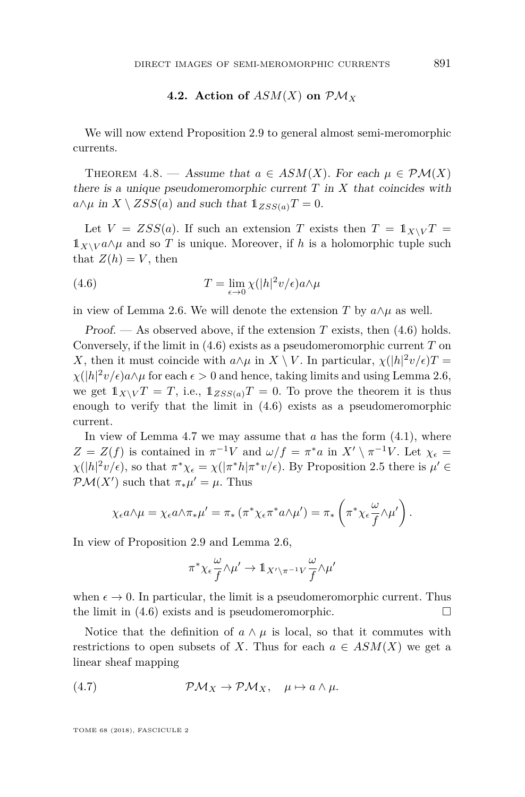#### **4.2.** Action of  $ASM(X)$  on  $\mathcal{PM}_X$

We will now extend Proposition [2.9](#page-8-1) to general almost semi-meromorphic currents.

<span id="page-17-0"></span>THEOREM 4.8. — Assume that  $a \in ASM(X)$ . For each  $\mu \in \mathcal{PM}(X)$ there is a unique pseudomeromorphic current *T* in *X* that coincides with  $a \wedge \mu$  in  $X \setminus ZSS(a)$  and such that  $\mathbb{1}_{ZSS(a)}T = 0$ .

Let  $V = ZSS(a)$ . If such an extension *T* exists then  $T = 1<sub>X\setminus V</sub>T$  =  $1\!\!1_{X\setminus V} a \wedge \mu$  and so T is unique. Moreover, if h is a holomorphic tuple such that  $Z(h) = V$ , then

<span id="page-17-1"></span>(4.6) 
$$
T = \lim_{\epsilon \to 0} \chi(|h|^2 v/\epsilon) a \wedge \mu
$$

in view of Lemma [2.6.](#page-7-0) We will denote the extension *T* by  $a \wedge \mu$  as well.

Proof.  $\sim$  As observed above, if the extension *T* exists, then [\(4.6\)](#page-17-1) holds. Conversely, if the limit in [\(4.6\)](#page-17-1) exists as a pseudomeromorphic current *T* on *X*, then it must coincide with  $a \wedge \mu$  in *X* \ *V*. In particular,  $\chi(|h|^2 v/\epsilon)T =$  $\chi(|h|^2 v/\epsilon)a \wedge \mu$  for each  $\epsilon > 0$  and hence, taking limits and using Lemma [2.6,](#page-7-0) we get  $1_{X\setminus V}T = T$ , i.e.,  $1_{ZSS(a)}T = 0$ . To prove the theorem it is thus enough to verify that the limit in [\(4.6\)](#page-17-1) exists as a pseudomeromorphic current.

In view of Lemma [4.7](#page-16-3) we may assume that *a* has the form [\(4.1\)](#page-14-0), where  $Z = Z(f)$  is contained in  $\pi^{-1}V$  and  $\omega/f = \pi^*a$  in  $X' \setminus \pi^{-1}V$ . Let  $\chi_{\epsilon} =$  $\chi(|h|^2 v/\epsilon)$ , so that  $\pi^* \chi_{\epsilon} = \chi(|\pi^* h|\pi^* v/\epsilon)$ . By Proposition [2.5](#page-6-3) there is  $\mu' \in$  $\mathcal{PM}(X')$  such that  $\pi_*\mu' = \mu$ . Thus

$$
\chi_{\epsilon} a \wedge \mu = \chi_{\epsilon} a \wedge \pi_{*} \mu' = \pi_{*} (\pi^{*} \chi_{\epsilon} \pi^{*} a \wedge \mu') = \pi_{*} \left( \pi^{*} \chi_{\epsilon} \frac{\omega}{f} \wedge \mu' \right).
$$

In view of Proposition [2.9](#page-8-1) and Lemma [2.6,](#page-7-0)

$$
\pi^*\chi_\epsilon\frac{\omega}{f}{\wedge}\mu'\to1\!\!1_{X'\setminus\pi^{-1}V}\frac{\omega}{f}{\wedge}\mu'
$$

when  $\epsilon \to 0$ . In particular, the limit is a pseudomeromorphic current. Thus the limit in  $(4.6)$  exists and is pseudomeromorphic.

Notice that the definition of  $a \wedge \mu$  is local, so that it commutes with restrictions to open subsets of *X*. Thus for each  $a \in ASM(X)$  we get a linear sheaf mapping

<span id="page-17-2"></span>(4.7) 
$$
\mathcal{PM}_X \to \mathcal{PM}_X, \quad \mu \mapsto a \wedge \mu.
$$

TOME 68 (2018), FASCICULE 2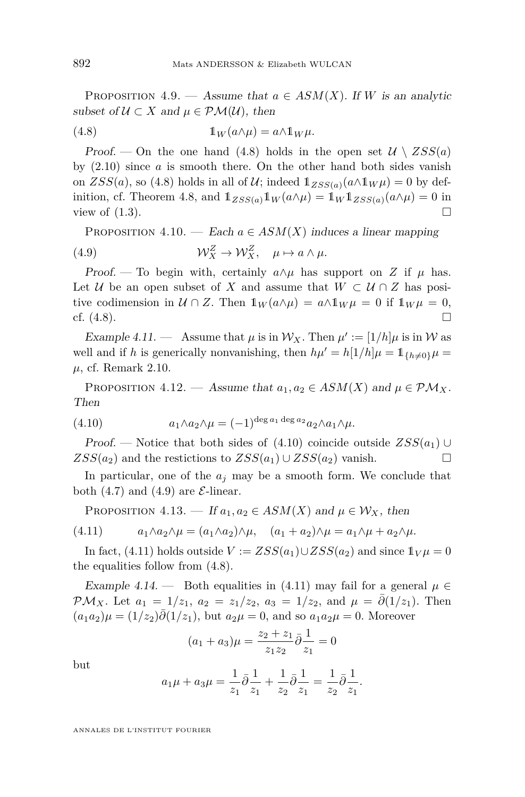PROPOSITION 4.9. — Assume that  $a \in ASM(X)$ . If *W* is an analytic subset of  $U \subset X$  and  $\mu \in \mathcal{PM}(\mathcal{U})$ , then

<span id="page-18-0"></span>(4.8) 
$$
\mathbb{1}_W(a \wedge \mu) = a \wedge \mathbb{1}_W \mu.
$$

Proof. — On the one hand [\(4.8\)](#page-18-0) holds in the open set  $\mathcal{U} \setminus ZSS(a)$ by [\(2.10\)](#page-6-5) since *a* is smooth there. On the other hand both sides vanish on  $ZSS(a)$ , so [\(4.8\)](#page-18-0) holds in all of U; indeed  $\mathbb{1}_{ZSS(a)}(a\wedge \mathbb{1}_W\mu) = 0$  by def-inition, cf. Theorem [4.8,](#page-17-0) and  $1_{ZSS(a)}1_W(a \wedge \mu) = 1_W1_{ZSS(a)}(a \wedge \mu) = 0$  in view of  $(1.3)$ .

<span id="page-18-2"></span>PROPOSITION 4.10. — Each  $a \in ASM(X)$  induces a linear mapping

(4.9)  $\mathcal{W}_X^Z \to \mathcal{W}_X^Z, \quad \mu \mapsto a \wedge \mu.$ 

Proof. — To begin with, certainly  $a \wedge \mu$  has support on *Z* if  $\mu$  has. Let U be an open subset of X and assume that  $W \subset U \cap Z$  has positive codimension in  $\mathcal{U} \cap Z$ . Then  $1_W(a \wedge \mu) = a \wedge 1_W \mu = 0$  if  $1_W \mu = 0$ , cf.  $(4.8)$ .

Example 4.11.  $-$  Assume that  $\mu$  is in  $\mathcal{W}_X$ . Then  $\mu' := [1/h]\mu$  is in W as well and if *h* is generically nonvanishing, then  $h\mu' = h[1/h]\mu = 1_{\{h\neq 0\}}\mu =$ *µ*, cf. Remark [2.10.](#page-8-2)

PROPOSITION 4.12. — Assume that  $a_1, a_2 \in ASM(X)$  and  $\mu \in \mathcal{PM}_X$ . Then

<span id="page-18-1"></span>(4.10) 
$$
a_1 \wedge a_2 \wedge \mu = (-1)^{\deg a_1 \deg a_2} a_2 \wedge a_1 \wedge \mu.
$$

Proof. — Notice that both sides of  $(4.10)$  coincide outside  $ZSS(a_1) \cup$  $ZSS(a_2)$  and the restictions to  $ZSS(a_1) \cup ZSS(a_2)$  vanish.

In particular, one of the  $a_j$  may be a smooth form. We conclude that both [\(4.7\)](#page-17-2) and [\(4.9\)](#page-18-2) are  $\mathcal{E}\text{-linear}$ .

<span id="page-18-3"></span>PROPOSITION 4.13. — If  $a_1, a_2 \in ASM(X)$  and  $\mu \in \mathcal{W}_X$ , then

 $(4.11)$   $a_1 \wedge a_2 \wedge \mu = (a_1 \wedge a_2) \wedge \mu, \quad (a_1 + a_2) \wedge \mu = a_1 \wedge \mu + a_2 \wedge \mu.$ 

In fact, [\(4.11\)](#page-18-3) holds outside  $V := ZSS(a_1) \cup ZSS(a_2)$  and since  $1_V\mu = 0$ the equalities follow from [\(4.8\)](#page-18-0).

Example 4.14. — Both equalities in [\(4.11\)](#page-18-3) may fail for a general  $\mu \in$ PM<sub>X</sub>. Let  $a_1 = 1/z_1$ ,  $a_2 = z_1/z_2$ ,  $a_3 = 1/z_2$ , and  $\mu = \partial(1/z_1)$ . Then  $(a_1a_2)\mu = (1/z_2)\overline{\partial}(1/z_1)$ , but  $a_2\mu = 0$ , and so  $a_1a_2\mu = 0$ . Moreover

$$
(a_1+a_3)\mu=\frac{z_2+z_1}{z_1z_2}\bar{\partial}\frac{1}{z_1}=0
$$

but

$$
a_1\mu + a_3\mu = \frac{1}{z_1}\bar{\partial}\frac{1}{z_1} + \frac{1}{z_2}\bar{\partial}\frac{1}{z_1} = \frac{1}{z_2}\bar{\partial}\frac{1}{z_1}.
$$

ANNALES DE L'INSTITUT FOURIER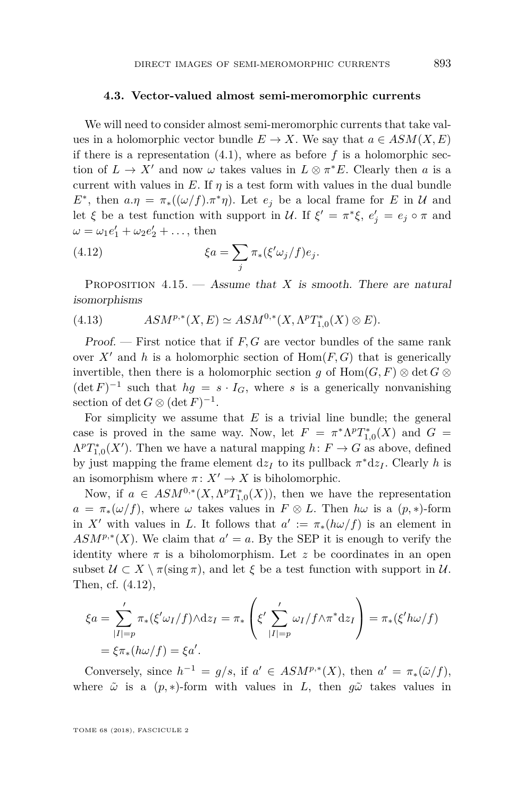#### **4.3. Vector-valued almost semi-meromorphic currents**

We will need to consider almost semi-meromorphic currents that take values in a holomorphic vector bundle  $E \to X$ . We say that  $a \in ASM(X, E)$ if there is a representation  $(4.1)$ , where as before  $f$  is a holomorphic section of  $L \to X'$  and now  $\omega$  takes values in  $L \otimes \pi^*E$ . Clearly then *a* is a current with values in  $E$ . If  $\eta$  is a test form with values in the dual bundle *E*<sup>\*</sup>, then  $a.\eta = \pi_*((\omega/f).\pi^*\eta)$ . Let  $e_j$  be a local frame for *E* in *U* and let *ξ* be a test function with support in *U*. If  $\xi' = \pi^* \xi$ ,  $e'_j = e_j \circ \pi$  and  $\omega = \omega_1 e'_1 + \omega_2 e'_2 + \dots$ , then

<span id="page-19-0"></span>(4.12) 
$$
\xi a = \sum_j \pi_*(\xi' \omega_j / f) e_j.
$$

<span id="page-19-1"></span>PROPOSITION  $4.15.$  — Assume that *X* is smooth. There are natural isomorphisms

(4.13) 
$$
ASM^{p,*}(X, E) \simeq ASM^{0,*}(X, \Lambda^p T_{1,0}^*(X) \otimes E).
$$

Proof. — First notice that if *F, G* are vector bundles of the same rank over  $X'$  and h is a holomorphic section of  $Hom(F, G)$  that is generically invertible, then there is a holomorphic section *g* of  $Hom(G, F) \otimes \det G \otimes$  $(\det F)^{-1}$  such that  $hg = s \cdot I_G$ , where *s* is a generically nonvanishing section of det  $G \otimes (\det F)^{-1}$ .

For simplicity we assume that *E* is a trivial line bundle; the general case is proved in the same way. Now, let  $F = \pi^* \Lambda^p T_{1,0}^*(X)$  and  $G =$  $\Lambda^p T_{1,0}^*(X')$ . Then we have a natural mapping  $h: F \to G$  as above, defined by just mapping the frame element  $dz_I$  to its pullback  $\pi^*dz_I$ . Clearly *h* is an isomorphism where  $\pi: X' \to X$  is biholomorphic.

Now, if  $a \in ASM^{0,*}(X, \Lambda^pT_{1,0}^*(X))$ , then we have the representation  $a = \pi_*(\omega/f)$ , where  $\omega$  takes values in  $F \otimes L$ . Then  $h\omega$  is a  $(p, *)$ -form in *X'* with values in *L*. It follows that  $a' := \pi_*(h\omega/f)$  is an element in  $ASM^{p,*}(X)$ . We claim that  $a' = a$ . By the SEP it is enough to verify the identity where  $\pi$  is a biholomorphism. Let *z* be coordinates in an open subset  $U \subset X \setminus \pi(\text{sing }\pi)$ , and let  $\xi$  be a test function with support in  $U$ . Then, cf. [\(4.12\)](#page-19-0),

$$
\xi a = \sum_{|I|=p}^{\prime} \pi_*(\xi' \omega_I/f) \wedge dz_I = \pi_* \left( \xi' \sum_{|I|=p}^{\prime} \omega_I/f \wedge \pi^* dz_I \right) = \pi_*(\xi' h \omega/f)
$$
  
=  $\xi \pi_*(h \omega/f) = \xi a'.$ 

Conversely, since  $h^{-1} = g/s$ , if  $a' \in ASM^{p,*}(X)$ , then  $a' = \pi_*(\tilde{\omega}/f)$ , where  $\tilde{\omega}$  is a  $(p,*)$ -form with values in *L*, then  $g\tilde{\omega}$  takes values in

TOME 68 (2018), FASCICULE 2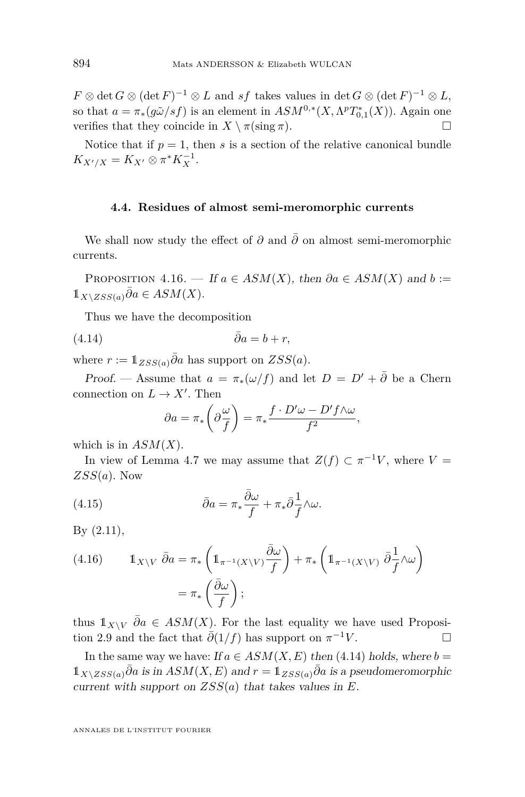$F \otimes \det G \otimes (\det F)^{-1} \otimes L$  and *sf* takes values in  $\det G \otimes (\det F)^{-1} \otimes L$ , so that  $a = \pi_*(g\tilde{\omega}/sf)$  is an element in  $ASM^{0,*}(X, \Lambda^pT^*_{0,1}(X))$ . Again one verifies that they coincide in  $X \setminus \pi(\sin \pi)$ .

Notice that if  $p = 1$ , then *s* is a section of the relative canonical bundle  $K_{X'/X} = K_{X'} \otimes \pi^* K_X^{-1}.$ 

#### **4.4. Residues of almost semi-meromorphic currents**

We shall now study the effect of  $\partial$  and  $\overline{\partial}$  on almost semi-meromorphic currents.

<span id="page-20-0"></span>PROPOSITION 4.16. — If  $a \in ASM(X)$ , then  $\partial a \in ASM(X)$  and  $b :=$  $1_X\chi_{ZSS(a)}\overline{\partial}a ∈ ASM(X).$ 

Thus we have the decomposition

$$
\bar{\partial}a = b + r,
$$

where  $r := 1_{ZSS(a)}\overline{\partial}a$  has support on  $ZSS(a)$ .

Proof. — Assume that  $a = \pi_*(\omega/f)$  and let  $D = D' + \overline{\partial}$  be a Chern connection on  $L \to X'$ . Then

<span id="page-20-2"></span><span id="page-20-1"></span>
$$
\partial a = \pi_* \left( \partial \frac{\omega}{f} \right) = \pi_* \frac{f \cdot D' \omega - D' f \wedge \omega}{f^2},
$$

which is in *ASM*(*X*).

In view of Lemma [4.7](#page-16-3) we may assume that  $Z(f) \subset \pi^{-1}V$ , where  $V =$ *ZSS*(*a*). Now

(4.15) 
$$
\bar{\partial}a = \pi_* \frac{\bar{\partial}\omega}{f} + \pi_* \bar{\partial}\frac{1}{f} \wedge \omega.
$$

By [\(2.11\)](#page-6-4),

(4.16) 
$$
\mathbb{1}_{X \setminus V} \bar{\partial} a = \pi_* \left( \mathbb{1}_{\pi^{-1}(X \setminus V)} \frac{\bar{\partial} \omega}{f} \right) + \pi_* \left( \mathbb{1}_{\pi^{-1}(X \setminus V)} \bar{\partial} \frac{1}{f} \wedge \omega \right)
$$

$$
= \pi_* \left( \frac{\bar{\partial} \omega}{f} \right);
$$

thus  $1_{X\setminus V} \bar{\partial}a \in \mathcal{A}SM(X)$ . For the last equality we have used Proposi-tion [2.9](#page-8-1) and the fact that  $\bar{\partial}(1/f)$  has support on  $\pi^{-1}V$ .

In the same way we have: If  $a \in ASM(X, E)$  then [\(4.14\)](#page-20-1) holds, where  $b =$  $1_{X\setminus ZSS(a)}\bar{\partial}_a$  is in  $ASM(X, E)$  and  $r = 1_{ZSS(a)}\bar{\partial}_a$  is a pseudomeromorphic current with support on *ZSS*(*a*) that takes values in *E*.

ANNALES DE L'INSTITUT FOURIER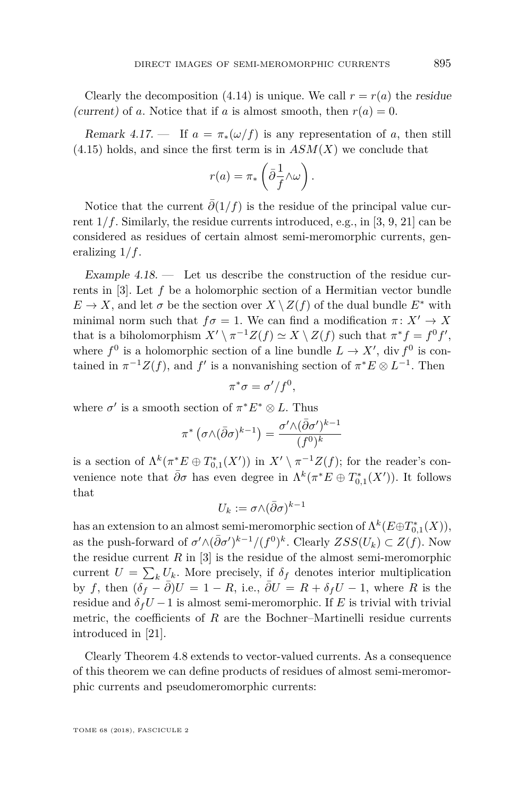Clearly the decomposition [\(4.14\)](#page-20-1) is unique. We call  $r = r(a)$  the residue (current) of *a*. Notice that if *a* is almost smooth, then  $r(a) = 0$ .

Remark 4.17. — If  $a = \pi_*(\omega/f)$  is any representation of a, then still  $(4.15)$  holds, and since the first term is in  $ASM(X)$  we conclude that

$$
r(a) = \pi_* \left( \bar{\partial} \frac{1}{f} \wedge \omega \right).
$$

Notice that the current  $\bar{\partial}(1/f)$  is the residue of the principal value current  $1/f$ . Similarly, the residue currents introduced, e.g., in [\[3,](#page-25-3) [9,](#page-25-5) [21\]](#page-26-0) can be considered as residues of certain almost semi-meromorphic currents, generalizing 1*/f*.

<span id="page-21-0"></span>Example  $4.18.$  — Let us describe the construction of the residue currents in [\[3\]](#page-25-3). Let *f* be a holomorphic section of a Hermitian vector bundle  $E \to X$ , and let  $\sigma$  be the section over  $X \setminus Z(f)$  of the dual bundle  $E^*$  with minimal norm such that  $f\sigma = 1$ . We can find a modification  $\pi: X' \to X$ that is a biholomorphism  $X' \setminus \pi^{-1}Z(f) \simeq X \setminus Z(f)$  such that  $\pi^* f = f^0 f'$ , where  $f^0$  is a holomorphic section of a line bundle  $L \to X'$ , div  $f^0$  is contained in  $\pi^{-1}Z(f)$ , and  $f'$  is a nonvanishing section of  $\pi^*E \otimes L^{-1}$ . Then

$$
\pi^*\sigma = \sigma'/f^0,
$$

where  $\sigma'$  is a smooth section of  $\pi^* E^* \otimes L$ . Thus

$$
\pi^*\left(\sigma{\wedge}(\bar\partial\sigma)^{k-1}\right)=\frac{\sigma'{\wedge}(\bar\partial\sigma')^{k-1}}{(f^0)^k}
$$

is a section of  $\Lambda^k(\pi^*E \oplus T_{0,1}^*(X'))$  in  $X' \setminus \pi^{-1}Z(f)$ ; for the reader's convenience note that  $\bar{\partial}\sigma$  has even degree in  $\Lambda^k(\pi^*E \oplus T_{0,1}^*(X'))$ . It follows that

$$
U_k:=\sigma{\wedge}(\bar\partial\sigma)^{k-1}
$$

has an extension to an almost semi-meromorphic section of  $\Lambda^k(E \oplus T^*_{0,1}(X)),$ as the push-forward of  $\sigma' \wedge (\bar{\partial} \sigma')^{k-1} / (f^0)^k$ . Clearly  $ZSS(U_k) \subset Z(f)$ . Now the residue current  $R$  in [\[3\]](#page-25-3) is the residue of the almost semi-meromorphic current  $U = \sum_{k} U_{k}$ . More precisely, if  $\delta_{f}$  denotes interior multiplication by *f*, then  $(\delta_f - \partial)U = 1 - R$ , i.e.,  $\partial U = R + \delta_f U - 1$ , where *R* is the residue and  $\delta_f U - 1$  is almost semi-meromorphic. If *E* is trivial with trivial metric, the coefficients of *R* are the Bochner–Martinelli residue currents introduced in [\[21\]](#page-26-0).

Clearly Theorem [4.8](#page-17-0) extends to vector-valued currents. As a consequence of this theorem we can define products of residues of almost semi-meromorphic currents and pseudomeromorphic currents:

TOME 68 (2018), FASCICULE 2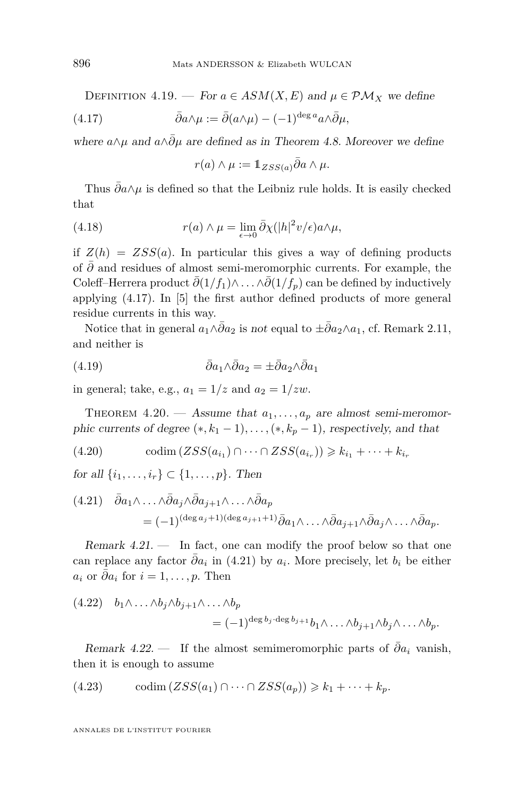DEFINITION 4.19. — For  $a \in ASM(X, E)$  and  $\mu \in \mathcal{PM}_X$  we define

(4.17) 
$$
\bar{\partial}a \wedge \mu := \bar{\partial}(a \wedge \mu) - (-1)^{\deg a} a \wedge \bar{\partial} \mu,
$$

where  $a \wedge \mu$  and  $a \wedge \bar{\partial} \mu$  are defined as in Theorem [4.8.](#page-17-0) Moreover we define

<span id="page-22-0"></span>
$$
r(a) \wedge \mu := 1_{ZSS(a)} \bar{\partial} a \wedge \mu.
$$

Thus  $\partial a \wedge \mu$  is defined so that the Leibniz rule holds. It is easily checked that

(4.18) 
$$
r(a) \wedge \mu = \lim_{\epsilon \to 0} \bar{\partial} \chi(|h|^2 v/\epsilon) a \wedge \mu,
$$

if  $Z(h) = ZSS(a)$ . In particular this gives a way of defining products of *∂*¯ and residues of almost semi-meromorphic currents. For example, the Coleff–Herrera product  $\bar{\partial}(1/f_1)\wedge \ldots \wedge \bar{\partial}(1/f_p)$  can be defined by inductively applying [\(4.17\)](#page-22-0). In [\[5\]](#page-25-4) the first author defined products of more general residue currents in this way.

Notice that in general  $a_1 \wedge \bar{\partial} a_2$  is not equal to  $\pm \bar{\partial} a_2 \wedge a_1$ , cf. Remark [2.11,](#page-9-3) and neither is

(4.19) 
$$
\bar{\partial}a_1 \wedge \bar{\partial}a_2 = \pm \bar{\partial}a_2 \wedge \bar{\partial}a_1
$$

in general; take, e.g.,  $a_1 = 1/z$  and  $a_2 = 1/zw$ .

THEOREM 4.20. — Assume that  $a_1, \ldots, a_p$  are almost semi-meromorphic currents of degree  $(*, k_1 - 1), \ldots, (*, k_p - 1)$ , respectively, and that

<span id="page-22-3"></span>(4.20) 
$$
\text{codim}\left(ZSS(a_{i_1})\cap\cdots\cap ZSS(a_{i_r})\right)\geq k_{i_1}+\cdots+k_{i_r}
$$

*for all*  $\{i_1, ..., i_r\}$  ⊂  $\{1, ..., p\}$ . Then

<span id="page-22-1"></span>
$$
(4.21) \quad \bar{\partial} a_1 \wedge \dots \wedge \bar{\partial} a_j \wedge \bar{\partial} a_{j+1} \wedge \dots \wedge \bar{\partial} a_p
$$
  
=  $(-1)^{(\deg a_j + 1)(\deg a_{j+1} + 1)} \bar{\partial} a_1 \wedge \dots \wedge \bar{\partial} a_{j+1} \wedge \bar{\partial} a_j \wedge \dots \wedge \bar{\partial} a_p.$ 

<span id="page-22-4"></span>Remark  $4.21.$  — In fact, one can modify the proof below so that one can replace any factor  $\bar{\partial}a_i$  in [\(4.21\)](#page-22-1) by  $a_i$ . More precisely, let  $b_i$  be either  $a_i$  or  $\bar{\partial}a_i$  for  $i = 1, \ldots, p$ . Then

$$
(4.22) \quad b_1 \wedge \ldots \wedge b_j \wedge b_{j+1} \wedge \ldots \wedge b_p
$$

$$
= (-1)^{\deg b_j \cdot \deg b_{j+1}} b_1 \wedge \ldots \wedge b_{j+1} \wedge b_j \wedge \ldots \wedge b_p.
$$

Remark 4.22. — If the almost semimeromorphic parts of  $\bar{\partial}a_i$  vanish, then it is enough to assume

<span id="page-22-2"></span>(4.23) 
$$
\operatorname{codim}(ZSS(a_1) \cap \cdots \cap ZSS(a_p)) \geq k_1 + \cdots + k_p.
$$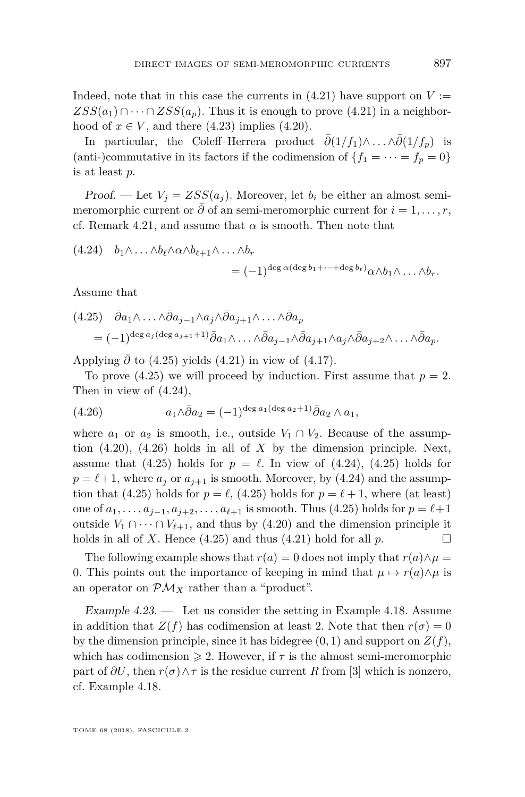Indeed, note that in this case the currents in  $(4.21)$  have support on  $V :=$  $ZSS(a_1) \cap \cdots \cap ZSS(a_n)$ . Thus it is enough to prove [\(4.21\)](#page-22-1) in a neighborhood of  $x \in V$ , and there [\(4.23\)](#page-22-2) implies [\(4.20\)](#page-22-3).

In particular, the Coleff–Herrera product  $\bar{\partial}(1/f_1)\wedge \ldots \wedge \bar{\partial}(1/f_p)$  is (anti-)commutative in its factors if the codimension of  ${f_1 = \cdots = f_p = 0}$ is at least *p*.

Proof. — Let  $V_i = ZSS(a_i)$ . Moreover, let  $b_i$  be either an almost semimeromorphic current or  $\partial$  of an semi-meromorphic current for  $i = 1, \ldots, r$ , cf. Remark [4.21,](#page-22-4) and assume that  $\alpha$  is smooth. Then note that

<span id="page-23-1"></span>
$$
(4.24) \quad b_1 \wedge \ldots \wedge b_{\ell} \wedge \alpha \wedge b_{\ell+1} \wedge \ldots \wedge b_r
$$
  
=  $(-1)^{\deg \alpha(\deg b_1 + \cdots + \deg b_{\ell})} \alpha \wedge b_1 \wedge \ldots \wedge b_r.$ 

Assume that

<span id="page-23-0"></span>
$$
(4.25) \quad \bar{\partial} a_1 \wedge \dots \wedge \bar{\partial} a_{j-1} \wedge a_j \wedge \bar{\partial} a_{j+1} \wedge \dots \wedge \bar{\partial} a_p
$$
  
=  $(-1)^{\deg a_j(\deg a_{j+1}+1)} \bar{\partial} a_1 \wedge \dots \wedge \bar{\partial} a_{j-1} \wedge \bar{\partial} a_{j+1} \wedge a_j \wedge \bar{\partial} a_{j+2} \wedge \dots \wedge \bar{\partial} a_p.$ 

Applying  $\bar{\partial}$  to [\(4.25\)](#page-23-0) yields [\(4.21\)](#page-22-1) in view of [\(4.17\)](#page-22-0).

To prove [\(4.25\)](#page-23-0) we will proceed by induction. First assume that  $p = 2$ . Then in view of [\(4.24\)](#page-23-1),

<span id="page-23-2"></span>(4.26) 
$$
a_1 \wedge \bar{\partial} a_2 = (-1)^{\deg a_1(\deg a_2 + 1)} \bar{\partial} a_2 \wedge a_1,
$$

where  $a_1$  or  $a_2$  is smooth, i.e., outside  $V_1 \cap V_2$ . Because of the assumption [\(4.20\)](#page-22-3), [\(4.26\)](#page-23-2) holds in all of *X* by the dimension principle. Next, assume that [\(4.25\)](#page-23-0) holds for  $p = \ell$ . In view of [\(4.24\)](#page-23-1), (4.25) holds for  $p = \ell + 1$ , where  $a_j$  or  $a_{j+1}$  is smooth. Moreover, by [\(4.24\)](#page-23-1) and the assump-tion that [\(4.25\)](#page-23-0) holds for  $p = \ell$ , (4.25) holds for  $p = \ell + 1$ , where (at least) one of  $a_1, \ldots, a_{j-1}, a_{j+2}, \ldots, a_{\ell+1}$  is smooth. Thus [\(4.25\)](#page-23-0) holds for  $p = \ell+1$ outside  $V_1 \cap \cdots \cap V_{\ell+1}$ , and thus by [\(4.20\)](#page-22-3) and the dimension principle it holds in all of *X*. Hence [\(4.25\)](#page-23-0) and thus [\(4.21\)](#page-22-1) hold for all  $p$ .

The following example shows that  $r(a) = 0$  does not imply that  $r(a) \wedge \mu =$ 0. This points out the importance of keeping in mind that  $\mu \mapsto r(a) \wedge \mu$  is an operator on  $\mathcal{PM}_X$  rather than a "product".

Example  $4.23.$  — Let us consider the setting in Example [4.18.](#page-21-0) Assume in addition that  $Z(f)$  has codimension at least 2. Note that then  $r(\sigma) = 0$ by the dimension principle, since it has bidegree  $(0, 1)$  and support on  $Z(f)$ , which has codimension  $\geq 2$ . However, if  $\tau$  is the almost semi-meromorphic part of  $\partial U$ , then  $r(\sigma) \wedge \tau$  is the residue current *R* from [\[3\]](#page-25-3) which is nonzero, cf. Example [4.18.](#page-21-0)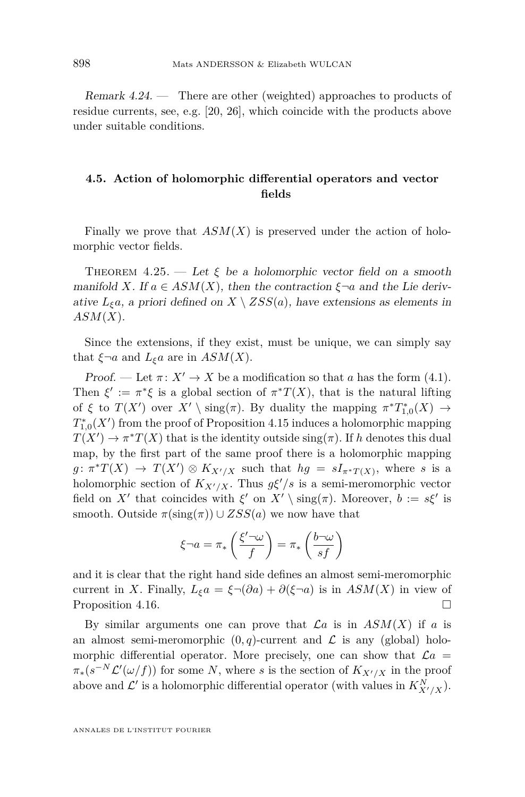Remark 4.24. — There are other (weighted) approaches to products of residue currents, see, e.g. [\[20,](#page-26-5) [26\]](#page-26-6), which coincide with the products above under suitable conditions.

#### <span id="page-24-0"></span>**4.5. Action of holomorphic differential operators and vector fields**

Finally we prove that  $ASM(X)$  is preserved under the action of holomorphic vector fields.

THEOREM  $4.25.$  — Let  $\xi$  be a holomorphic vector field on a smooth manifold *X*. If  $a \in ASM(X)$ , then the contraction  $\xi \neg a$  and the Lie derivative  $L_{\xi}a$ , a priori defined on  $X \setminus ZSS(a)$ , have extensions as elements in *ASM*(*X*).

Since the extensions, if they exist, must be unique, we can simply say that  $\xi \neg a$  and  $L_{\xi}a$  are in  $ASM(X)$ .

Proof. — Let  $\pi: X' \to X$  be a modification so that *a* has the form [\(4.1\)](#page-14-0). Then  $\xi' := \pi^* \xi$  is a global section of  $\pi^* T(X)$ , that is the natural lifting of  $\xi$  to  $T(X')$  over  $X' \setminus \text{sing}(\pi)$ . By duality the mapping  $\pi^* T^*_{1,0}(X) \to$  $T_{1,0}^*(X')$  from the proof of Proposition [4.15](#page-19-1) induces a holomorphic mapping  $T(X') \to \pi^* T(X)$  that is the identity outside  $\text{sing}(\pi)$ . If *h* denotes this dual map, by the first part of the same proof there is a holomorphic mapping  $g: \pi^*T(X) \to T(X') \otimes K_{X'/X}$  such that  $hg = sI_{\pi^*T(X)}$ , where *s* is a holomorphic section of  $K_{X'/X}$ . Thus  $g\xi'/s$  is a semi-meromorphic vector field on *X'* that coincides with  $\xi'$  on  $X' \setminus \text{sing}(\pi)$ . Moreover,  $b := s\xi'$  is smooth. Outside  $\pi(\text{sing}(\pi)) \cup ZSS(a)$  we now have that

$$
\xi \neg a = \pi_* \left( \frac{\xi' \neg \omega}{f} \right) = \pi_* \left( \frac{b \neg \omega}{sf} \right)
$$

and it is clear that the right hand side defines an almost semi-meromorphic current in *X*. Finally,  $L_{\xi}a = \xi \neg (\partial a) + \partial (\xi \neg a)$  is in  $ASM(X)$  in view of Proposition [4.16.](#page-20-0)

By similar arguments one can prove that  $\mathcal{L}a$  is in  $ASM(X)$  if a is an almost semi-meromorphic  $(0, q)$ -current and  $\mathcal L$  is any (global) holomorphic differential operator. More precisely, one can show that  $\mathcal{L}a =$  $\pi_*(s^{-N}\mathcal{L}'(\omega/f))$  for some *N*, where *s* is the section of  $K_{X'/X}$  in the proof above and  $\mathcal{L}'$  is a holomorphic differential operator (with values in  $K_{X'/X}^N$ ).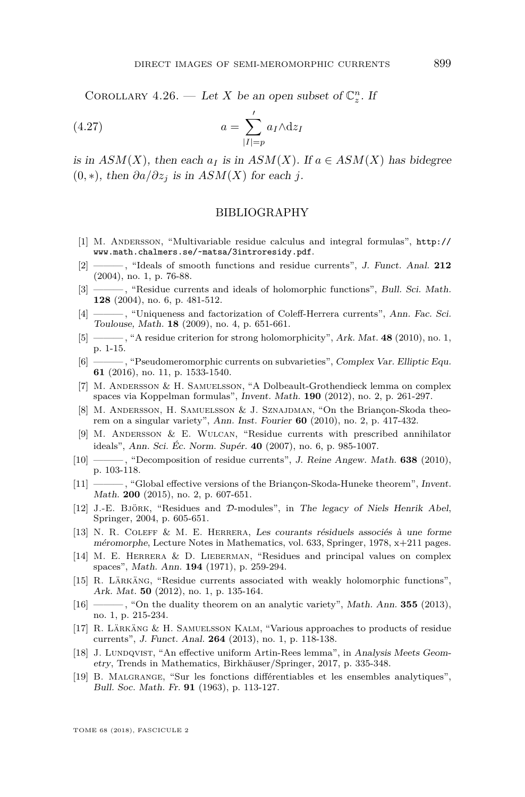COROLLARY 4.26. — Let *X* be an open subset of  $\mathbb{C}_z^n$ . If

$$
(4.27) \t\t a = \sum_{|I|=p}^{\prime} a_I \wedge dz_I
$$

is in  $ASM(X)$ , then each  $a_I$  is in  $ASM(X)$ . If  $a \in ASM(X)$  has bidegree (0*,* ∗), then *∂a/∂z<sup>j</sup>* is in *ASM*(*X*) for each *j*.

#### BIBLIOGRAPHY

- <span id="page-25-16"></span>[1] M. Andersson, "Multivariable residue calculus and integral formulas", [http://](http://www.math.chalmers.se/~matsa/3introresidy.pdf) [www.math.chalmers.se/~matsa/3introresidy.pdf](http://www.math.chalmers.se/~matsa/3introresidy.pdf).
- <span id="page-25-18"></span>[2] ——— , "Ideals of smooth functions and residue currents", J. Funct. Anal. **212** (2004), no. 1, p. 76-88.
- <span id="page-25-3"></span>[3] ———, "Residue currents and ideals of holomorphic functions", Bull. Sci. Math. **128** (2004), no. 6, p. 481-512.
- <span id="page-25-13"></span>[4] ———, "Uniqueness and factorization of Coleff-Herrera currents", Ann. Fac. Sci. Toulouse, Math. **18** (2009), no. 4, p. 651-661.
- <span id="page-25-4"></span>[5] ——— , "A residue criterion for strong holomorphicity", Ark. Mat. **48** (2010), no. 1, p. 1-15.
- <span id="page-25-14"></span>[6] ——— , "Pseudomeromorphic currents on subvarieties", Complex Var. Elliptic Equ. **61** (2016), no. 11, p. 1533-1540.
- <span id="page-25-7"></span>[7] M. Andersson & H. Samuelsson, "A Dolbeault-Grothendieck lemma on complex spaces via Koppelman formulas", Invent. Math. **190** (2012), no. 2, p. 261-297.
- <span id="page-25-8"></span>[8] M. Andersson, H. Samuelsson & J. Sznajdman, "On the Briançon-Skoda theorem on a singular variety", Ann. Inst. Fourier **60** (2010), no. 2, p. 417-432.
- <span id="page-25-5"></span>[9] M. Andersson & E. Wulcan, "Residue currents with prescribed annihilator ideals", Ann. Sci. Éc. Norm. Supér. **40** (2007), no. 6, p. 985-1007.
- <span id="page-25-6"></span>[10] ——— , "Decomposition of residue currents", J. Reine Angew. Math. **638** (2010), p. 103-118.
- <span id="page-25-9"></span>[11] ——— , "Global effective versions of the Briançon-Skoda-Huneke theorem", Invent. Math. **200** (2015), no. 2, p. 607-651.
- <span id="page-25-2"></span>[12] J.-E. Björk, "Residues and D-modules", in The legacy of Niels Henrik Abel, Springer, 2004, p. 605-651.
- <span id="page-25-1"></span>[13] N. R. Coleff & M. E. Herrera, Les courants résiduels associés à une forme méromorphe, Lecture Notes in Mathematics, vol. 633, Springer, 1978, x+211 pages.
- <span id="page-25-0"></span>[14] M. E. Herrera & D. Lieberman, "Residues and principal values on complex spaces", Math. Ann. **194** (1971), p. 259-294.
- <span id="page-25-10"></span>[15] R. Lärkäng, "Residue currents associated with weakly holomorphic functions", Ark. Mat. **50** (2012), no. 1, p. 135-164.
- <span id="page-25-11"></span>[16] ——— , "On the duality theorem on an analytic variety", Math. Ann. **355** (2013), no. 1, p. 215-234.
- <span id="page-25-15"></span>[17] R. Lärkäng & H. Samuelsson Kalm, "Various approaches to products of residue currents", J. Funct. Anal. **264** (2013), no. 1, p. 118-138.
- <span id="page-25-12"></span>[18] J. Lundqvist, "An effective uniform Artin-Rees lemma", in Analysis Meets Geometry, Trends in Mathematics, Birkhäuser/Springer, 2017, p. 335-348.
- <span id="page-25-17"></span>[19] B. Malgrange, "Sur les fonctions différentiables et les ensembles analytiques", Bull. Soc. Math. Fr. **91** (1963), p. 113-127.